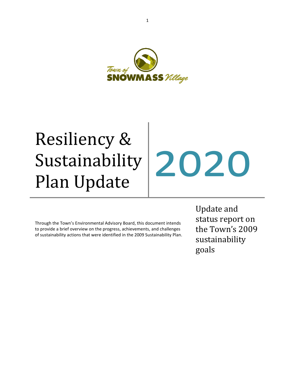

# Resiliency & **Sustainability** Sustainability 2020

Through the Town's Environmental Advisory Board, this document intends to provide a brief overview on the progress, achievements, and challenges of sustainability actions that were identified in the 2009 Sustainability Plan. Update and status report on the Town's 2009 sustainability goals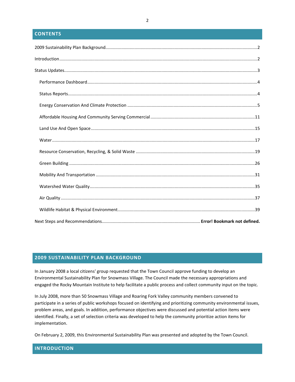#### **CONTENTS**

#### <span id="page-1-0"></span>**2009 SUSTAINABILITY PLAN BACKGROUND**

In January 2008 a local citizens' group requested that the Town Council approve funding to develop an Environmental Sustainability Plan for Snowmass Village. The Council made the necessary appropriations and engaged the Rocky Mountain Institute to help facilitate a public process and collect community input on the topic.

In July 2008, more than 50 Snowmass Village and Roaring Fork Valley community members convened to participate in a series of public workshops focused on identifying and prioritizing community environmental issues, problem areas, and goals. In addition, performance objectives were discussed and potential action items were identified. Finally, a set of selection criteria was developed to help the community prioritize action items for implementation.

On February 2, 2009, this Environmental Sustainability Plan was presented and adopted by the Town Council.

#### <span id="page-1-1"></span>**INTRODUCTION**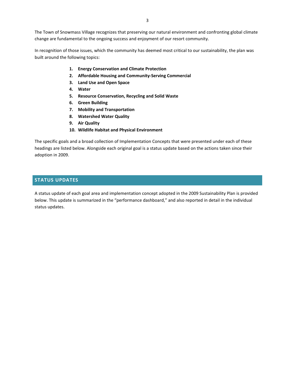The Town of Snowmass Village recognizes that preserving our natural environment and confronting global climate change are fundamental to the ongoing success and enjoyment of our resort community.

In recognition of those issues, which the community has deemed most critical to our sustainability, the plan was built around the following topics:

- **1. Energy Conservation and Climate Protection**
- **2. Affordable Housing and Community-Serving Commercial**
- **3. Land Use and Open Space**
- **4. Water**
- **5. Resource Conservation, Recycling and Solid Waste**
- **6. Green Building**
- **7. Mobility and Transportation**
- **8. Watershed Water Quality**
- **9. Air Quality**
- **10. Wildlife Habitat and Physical Environment**

The specific goals and a broad collection of Implementation Concepts that were presented under each of these headings are listed below. Alongside each original goal is a status update based on the actions taken since their adoption in 2009.

#### <span id="page-2-0"></span>**STATUS UPDATES**

A status update of each goal area and implementation concept adopted in the 2009 Sustainability Plan is provided below. This update is summarized in the "performance dashboard," and also reported in detail in the individual status updates.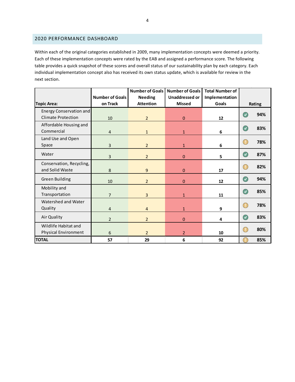#### <span id="page-3-0"></span>2020 PERFORMANCE DASHBOARD

Within each of the original categories established in 2009, many implementation concepts were deemed a priority. Each of these implementation concepts were rated by the EAB and assigned a performance score. The following table provides a quick snapshot of these scores and overall status of our sustainability plan by each category. Each individual implementation concept also has received its own status update, which is available for review in the next section.

<span id="page-3-1"></span>

|                                                      | <b>Number of Goals</b> | <b>Number of Goals</b><br><b>Needing</b> | <b>Number of Goals</b><br><b>Unaddressed or</b> | <b>Total Number of</b><br>Implementation |                             |        |
|------------------------------------------------------|------------------------|------------------------------------------|-------------------------------------------------|------------------------------------------|-----------------------------|--------|
| <b>Topic Area:</b>                                   | on Track               | <b>Attention</b>                         | <b>Missed</b>                                   | Goals                                    |                             | Rating |
| Energy Conservation and<br><b>Climate Protection</b> | 10                     | $\overline{2}$                           | 0                                               | 12                                       | $\overline{\mathcal{L}}$    | 94%    |
| Affordable Housing and<br>Commercial                 | $\overline{4}$         | $\mathbf{1}$                             | $\mathbf{1}$                                    | 6                                        | $\overline{\mathcal{F}}$    | 83%    |
| Land Use and Open<br>Space                           | 3                      | $\overline{2}$                           | $\mathbf{1}$                                    | 6                                        | CL.                         | 78%    |
| Water                                                | $\overline{3}$         | $\overline{2}$                           | $\Omega$                                        | 5                                        | $\overline{\mathcal{L}}$    | 87%    |
| Conservation, Recycling,<br>and Solid Waste          | 8                      | 9                                        | 0                                               | 17                                       | CL.                         | 82%    |
| <b>Green Building</b>                                | 10                     | $\overline{2}$                           | 0                                               | 12                                       | $\left( \mathcal{A}\right)$ | 94%    |
| Mobility and<br>Transportation                       | $\overline{7}$         | 3                                        | $\mathbf{1}$                                    | 11                                       | $\checkmark$                | 85%    |
| Watershed and Water<br>Quality                       | $\overline{4}$         | $\overline{4}$                           | $\mathbf{1}$                                    | 9                                        | Œ                           | 78%    |
| Air Quality                                          | $\overline{2}$         | $\overline{2}$                           | 0                                               | 4                                        | C,                          | 83%    |
| Wildlife Habitat and<br>Physical Environment         | 6                      | $\overline{2}$                           | $\overline{2}$                                  | 10                                       | C.                          | 80%    |
| <b>TOTAL</b>                                         | 57                     | 29                                       | 6                                               | 92                                       |                             | 85%    |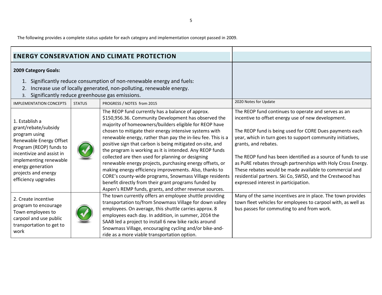The following provides a complete status update for each category and implementation concept passed in 2009.

<span id="page-4-0"></span>

| <b>ENERGY CONSERVATION AND CLIMATE PROTECTION</b>                                                                                                                                                                                       |               |                                                                                                                                                                                                                                                                                                                                                                                                                                                                                                                                                                                                                                                                                                                                                                               |                                                                                                                                                                                                                                                                                                                                                                                                                                                                                                                                                             |
|-----------------------------------------------------------------------------------------------------------------------------------------------------------------------------------------------------------------------------------------|---------------|-------------------------------------------------------------------------------------------------------------------------------------------------------------------------------------------------------------------------------------------------------------------------------------------------------------------------------------------------------------------------------------------------------------------------------------------------------------------------------------------------------------------------------------------------------------------------------------------------------------------------------------------------------------------------------------------------------------------------------------------------------------------------------|-------------------------------------------------------------------------------------------------------------------------------------------------------------------------------------------------------------------------------------------------------------------------------------------------------------------------------------------------------------------------------------------------------------------------------------------------------------------------------------------------------------------------------------------------------------|
| 2009 Category Goals:                                                                                                                                                                                                                    |               |                                                                                                                                                                                                                                                                                                                                                                                                                                                                                                                                                                                                                                                                                                                                                                               |                                                                                                                                                                                                                                                                                                                                                                                                                                                                                                                                                             |
| Significantly reduce consumption of non-renewable energy and fuels:<br>1.<br>Increase use of locally generated, non-polluting, renewable energy.<br>2.<br>Significantly reduce greenhouse gas emissions.<br>3.                          |               |                                                                                                                                                                                                                                                                                                                                                                                                                                                                                                                                                                                                                                                                                                                                                                               |                                                                                                                                                                                                                                                                                                                                                                                                                                                                                                                                                             |
| <b>IMPLEMENTATION CONCEPTS</b>                                                                                                                                                                                                          | <b>STATUS</b> | PROGRESS / NOTES from 2015                                                                                                                                                                                                                                                                                                                                                                                                                                                                                                                                                                                                                                                                                                                                                    | 2020 Notes for Update                                                                                                                                                                                                                                                                                                                                                                                                                                                                                                                                       |
| 1. Establish a<br>grant/rebate/subsidy<br>program using<br>Renewable Energy Offset<br>Program (REOP) funds to<br>incentivize and assist in<br>implementing renewable<br>energy generation<br>projects and energy<br>efficiency upgrades |               | The REOP fund currently has a balance of approx.<br>\$150,956.36. Community Development has observed the<br>majority of homeowners/builders eligible for REOP have<br>chosen to mitigate their energy intensive systems with<br>renewable energy, rather than pay the in-lieu fee. This is a<br>positive sign that carbon is being mitigated on-site, and<br>the program is working as it is intended. Any REOP funds<br>collected are then used for planning or designing<br>renewable energy projects, purchasing energy offsets, or<br>making energy efficiency improvements. Also, thanks to<br>CORE's county-wide programs, Snowmass Village residents<br>benefit directly from their grant programs funded by<br>Aspen's REMP funds, grants, and other revenue sources. | The REOP fund continues to operate and serves as an<br>incentive to offset energy use of new development.<br>The REOP fund is being used for CORE Dues payments each<br>year, which in turn goes to support community initiatives,<br>grants, and rebates.<br>The REOP fund has been identified as a source of funds to use<br>as PuRE rebates through partnerships with Holy Cross Energy.<br>These rebates would be made available to commercial and<br>residential partners. Ski Co, SWSD, and the Crestwood has<br>expressed interest in participation. |
| 2. Create incentive<br>program to encourage<br>Town employees to<br>carpool and use public<br>transportation to get to<br>work                                                                                                          |               | The town currently offers an employee shuttle providing<br>transportation to/from Snowmass Village for down valley<br>employees. On average, this shuttle carries approx. 8<br>employees each day. In addition, in summer, 2014 the<br>SAAB led a project to install 6 new bike racks around<br>Snowmass Village, encouraging cycling and/or bike-and-<br>ride as a more viable transportation option.                                                                                                                                                                                                                                                                                                                                                                        | Many of the same incentives are in place. The town provides<br>town fleet vehicles for employees to carpool with, as well as<br>bus passes for commuting to and from work.                                                                                                                                                                                                                                                                                                                                                                                  |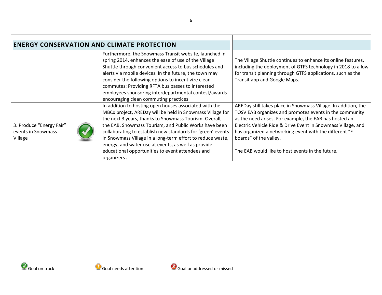|                                                           |  | <b>ENERGY CONSERVATION AND CLIMATE PROTECTION</b>                                                                                                                                                                                                                                                                                                                                                                                                                                             |                                                                                                                                                                                                                                                                                                                                                                                              |
|-----------------------------------------------------------|--|-----------------------------------------------------------------------------------------------------------------------------------------------------------------------------------------------------------------------------------------------------------------------------------------------------------------------------------------------------------------------------------------------------------------------------------------------------------------------------------------------|----------------------------------------------------------------------------------------------------------------------------------------------------------------------------------------------------------------------------------------------------------------------------------------------------------------------------------------------------------------------------------------------|
|                                                           |  | Furthermore, the Snowmass Transit website, launched in<br>spring 2014, enhances the ease of use of the Village<br>Shuttle through convenient access to bus schedules and<br>alerts via mobile devices. In the future, the town may<br>consider the following options to incentivize clean<br>commutes: Providing RFTA bus passes to interested<br>employees sponsoring interdepartmental contest/awards<br>encouraging clean commuting practices                                              | The Village Shuttle continues to enhance its online features,<br>including the deployment of GTFS technology in 2018 to allow<br>for transit planning through GTFS applications, such as the<br>Transit app and Google Maps.                                                                                                                                                                 |
| 3. Produce "Energy Fair"<br>events in Snowmass<br>Village |  | In addition to hosting open houses associated with the<br>MBCx project, AREDay will be held in Snowmass Village for<br>the next 3 years, thanks to Snowmass Tourism. Overall,<br>the EAB, Snowmass Tourism, and Public Works have been<br>collaborating to establish new standards for 'green' events<br>in Snowmass Village in a long-term effort to reduce waste,<br>energy, and water use at events, as well as provide<br>educational opportunities to event attendees and<br>organizers. | AREDay still takes place in Snowmass Village. In addition, the<br>TOSV EAB organizes and promotes events in the community<br>as the need arises. For example, the EAB has hosted an<br>Electric Vehicle Ride & Drive Event in Snowmass Village, and<br>has organized a networking event with the different "E-<br>boards" of the valley.<br>The EAB would like to host events in the future. |

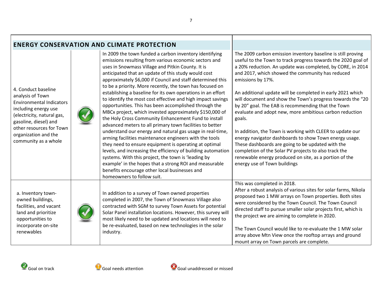|                                                                                                                                                                                                                                       | <b>ENERGY CONSERVATION AND CLIMATE PROTECTION</b>                                                                                                                                                                                                                                                                                                                                                                                                                                                                                                                                                                                                                                                                                                                                                                                                                                                                                                                                                                                                                                                                                                                           |                                                                                                                                                                                                                                                                                                                                                                                                                                                                                                                                                                                                                                                                                                                                                                                                                                                            |
|---------------------------------------------------------------------------------------------------------------------------------------------------------------------------------------------------------------------------------------|-----------------------------------------------------------------------------------------------------------------------------------------------------------------------------------------------------------------------------------------------------------------------------------------------------------------------------------------------------------------------------------------------------------------------------------------------------------------------------------------------------------------------------------------------------------------------------------------------------------------------------------------------------------------------------------------------------------------------------------------------------------------------------------------------------------------------------------------------------------------------------------------------------------------------------------------------------------------------------------------------------------------------------------------------------------------------------------------------------------------------------------------------------------------------------|------------------------------------------------------------------------------------------------------------------------------------------------------------------------------------------------------------------------------------------------------------------------------------------------------------------------------------------------------------------------------------------------------------------------------------------------------------------------------------------------------------------------------------------------------------------------------------------------------------------------------------------------------------------------------------------------------------------------------------------------------------------------------------------------------------------------------------------------------------|
| 4. Conduct baseline<br>analysis of Town<br><b>Environmental Indicators</b><br>including energy use<br>(electricity, natural gas,<br>gasoline, diesel) and<br>other resources for Town<br>organization and the<br>community as a whole | In 2009 the town funded a carbon inventory identifying<br>emissions resulting from various economic sectors and<br>uses in Snowmass Village and Pitkin County. It is<br>anticipated that an update of this study would cost<br>approximately \$6,000 if Council and staff determined this<br>to be a priority. More recently, the town has focused on<br>establishing a baseline for its own operations in an effort<br>to identify the most cost effective and high impact savings<br>opportunities. This has been accomplished through the<br>MBCx project, which invested approximately \$150,000 of<br>the Holy Cross Community Enhancement Fund to install<br>advanced meters to all primary town facilities to better<br>understand our energy and natural gas usage in real-time,<br>arming facilities maintenance engineers with the tools<br>they need to ensure equipment is operating at optimal<br>levels, and increasing the efficiency of building automation<br>systems. With this project, the town is 'leading by<br>example' in the hopes that a strong ROI and measurable<br>benefits encourage other local businesses and<br>homeowners to follow suit. | The 2009 carbon emission inventory baseline is still proving<br>useful to the Town to track progress towards the 2020 goal of<br>a 20% reduction. An update was completed, by CORE, in 2014<br>and 2017, which showed the community has reduced<br>emissions by 17%.<br>An additional update will be completed in early 2021 which<br>will document and show the Town's progress towards the "20<br>by 20" goal. The EAB is recommending that the Town<br>evaluate and adopt new, more ambitious carbon reduction<br>goals.<br>In addition, the Town is working with CLEER to update our<br>energy navigator dashboards to show Town energy usage.<br>These dashboards are going to be updated with the<br>completion of the Solar PV projects to also track the<br>renewable energy produced on site, as a portion of the<br>energy use of Town buildings |
| a. Inventory town-<br>owned buildings,<br>facilities, and vacant<br>land and prioritize<br>opportunities to<br>incorporate on-site<br>renewables                                                                                      | In addition to a survey of Town owned properties<br>completed in 2007, the Town of Snowmass Village also<br>contracted with SGM to survey Town Assets for potential<br>Solar Panel installation locations. However, this survey will<br>most likely need to be updated and locations will need to<br>be re-evaluated, based on new technologies in the solar<br>industry.                                                                                                                                                                                                                                                                                                                                                                                                                                                                                                                                                                                                                                                                                                                                                                                                   | This was completed in 2018.<br>After a robust analysis of various sites for solar farms, Nikola<br>proposed two 1 MW arrays on Town properties. Both sites<br>were considered by the Town Council. The Town Council<br>directed staff to pursue smaller solar projects first, which is<br>the project we are aiming to complete in 2020.<br>The Town Council would like to re-evaluate the 1 MW solar<br>array above Mtn View once the rooftop arrays and ground<br>mount array on Town parcels are complete.                                                                                                                                                                                                                                                                                                                                              |

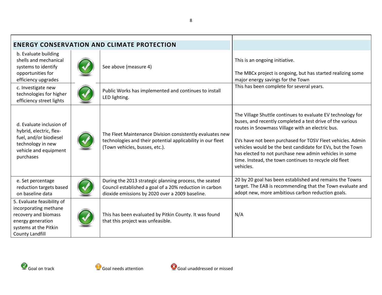| <b>ENERGY CONSERVATION AND CLIMATE PROTECTION</b>                                                                                                   |  |                                                                                                                                                                      |                                                                                                                                                                                                                                                                                                                                                                                                                                           |
|-----------------------------------------------------------------------------------------------------------------------------------------------------|--|----------------------------------------------------------------------------------------------------------------------------------------------------------------------|-------------------------------------------------------------------------------------------------------------------------------------------------------------------------------------------------------------------------------------------------------------------------------------------------------------------------------------------------------------------------------------------------------------------------------------------|
| b. Evaluate building<br>shells and mechanical<br>systems to identify<br>opportunities for<br>efficiency upgrades                                    |  | See above (measure 4)                                                                                                                                                | This is an ongoing initiative.<br>The MBCx project is ongoing, but has started realizing some<br>major energy savings for the Town                                                                                                                                                                                                                                                                                                        |
| c. Investigate new<br>technologies for higher<br>efficiency street lights                                                                           |  | Public Works has implemented and continues to install<br>LED lighting.                                                                                               | This has been complete for several years.                                                                                                                                                                                                                                                                                                                                                                                                 |
| d. Evaluate inclusion of<br>hybrid, electric, flex-<br>fuel, and/or biodiesel<br>technology in new<br>vehicle and equipment<br>purchases            |  | The Fleet Maintenance Division consistently evaluates new<br>technologies and their potential applicability in our fleet<br>(Town vehicles, busses, etc.).           | The Village Shuttle continues to evaluate EV technology for<br>buses, and recently completed a test drive of the various<br>routes in Snowmass Village with an electric bus.<br>EVs have not been purchased for TOSV Fleet vehicles. Admin<br>vehicles would be the best candidate for EVs, but the Town<br>has elected to not purchase new admin vehicles in some<br>time. Instead, the town continues to recycle old fleet<br>vehicles. |
| e. Set percentage<br>reduction targets based<br>on baseline data                                                                                    |  | During the 2013 strategic planning process, the seated<br>Council established a goal of a 20% reduction in carbon<br>dioxide emissions by 2020 over a 2009 baseline. | 20 by 20 goal has been established and remains the Towns<br>target. The EAB is recommending that the Town evaluate and<br>adopt new, more ambitious carbon reduction goals.                                                                                                                                                                                                                                                               |
| 5. Evaluate feasibility of<br>incorporating methane<br>recovery and biomass<br>energy generation<br>systems at the Pitkin<br><b>County Landfill</b> |  | This has been evaluated by Pitkin County. It was found<br>that this project was unfeasible.                                                                          | N/A                                                                                                                                                                                                                                                                                                                                                                                                                                       |

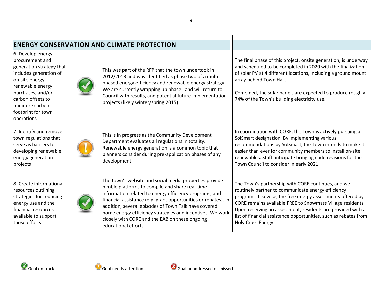| <b>ENERGY CONSERVATION AND CLIMATE PROTECTION</b>                                                                                                                                                                                  |  |                                                                                                                                                                                                                                                                                                                                                                                                                                      |                                                                                                                                                                                                                                                                                                                                                                                               |
|------------------------------------------------------------------------------------------------------------------------------------------------------------------------------------------------------------------------------------|--|--------------------------------------------------------------------------------------------------------------------------------------------------------------------------------------------------------------------------------------------------------------------------------------------------------------------------------------------------------------------------------------------------------------------------------------|-----------------------------------------------------------------------------------------------------------------------------------------------------------------------------------------------------------------------------------------------------------------------------------------------------------------------------------------------------------------------------------------------|
| 6. Develop energy<br>procurement and<br>generation strategy that<br>includes generation of<br>on-site energy,<br>renewable energy<br>purchases, and/or<br>carbon offsets to<br>minimize carbon<br>footprint for town<br>operations |  | This was part of the RFP that the town undertook in<br>2012/2013 and was identified as phase two of a multi-<br>phased energy efficiency and renewable energy strategy.<br>We are currently wrapping up phase I and will return to<br>Council with results, and potential future implementation<br>projects (likely winter/spring 2015).                                                                                             | The final phase of this project, onsite generation, is underway<br>and scheduled to be completed in 2020 with the finalization<br>of solar PV at 4 different locations, including a ground mount<br>array behind Town Hall.<br>Combined, the solar panels are expected to produce roughly<br>74% of the Town's building electricity use.                                                      |
| 7. Identify and remove<br>town regulations that<br>serve as barriers to<br>developing renewable<br>energy generation<br>projects                                                                                                   |  | This is in progress as the Community Development<br>Department evaluates all regulations in totality.<br>Renewable energy generation is a common topic that<br>planners consider during pre-application phases of any<br>development.                                                                                                                                                                                                | In coordination with CORE, the Town is actively pursuing a<br>SolSmart designation. By implementing various<br>recommendations by SolSmart, the Town intends to make it<br>easier than ever for community members to install on-site<br>renewables. Staff anticipate bringing code revisions for the<br>Town Council to consider in early 2021.                                               |
| 8. Create informational<br>resources outlining<br>strategies for reducing<br>energy use and the<br>financial resources<br>available to support<br>those efforts                                                                    |  | The town's website and social media properties provide<br>nimble platforms to compile and share real-time<br>information related to energy efficiency programs, and<br>financial assistance (e.g. grant opportunities or rebates). In<br>addition, several episodes of Town Talk have covered<br>home energy efficiency strategies and incentives. We work<br>closely with CORE and the EAB on these ongoing<br>educational efforts. | The Town's partnership with CORE continues, and we<br>routinely partner to communicate energy efficiency<br>programs. Likewise, the free energy assessments offered by<br>CORE remains available FREE to Snowmass Village residents.<br>Upon receiving an assessment, residents are provided with a<br>list of financial assistance opportunities, such as rebates from<br>Holy Cross Energy. |



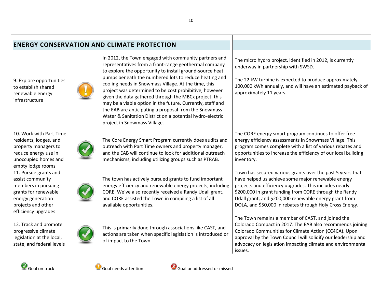| <b>ENERGY CONSERVATION AND CLIMATE PROTECTION</b>                                                                                                          |  |                                                                                                                                                                                                                                                                                                                                                                                                                                                                                                                                                                                                                                     |                                                                                                                                                                                                                                                                                                                                                            |
|------------------------------------------------------------------------------------------------------------------------------------------------------------|--|-------------------------------------------------------------------------------------------------------------------------------------------------------------------------------------------------------------------------------------------------------------------------------------------------------------------------------------------------------------------------------------------------------------------------------------------------------------------------------------------------------------------------------------------------------------------------------------------------------------------------------------|------------------------------------------------------------------------------------------------------------------------------------------------------------------------------------------------------------------------------------------------------------------------------------------------------------------------------------------------------------|
| 9. Explore opportunities<br>to establish shared<br>renewable energy<br>infrastructure                                                                      |  | In 2012, the Town engaged with community partners and<br>representatives from a front-range geothermal company<br>to explore the opportunity to install ground-source heat<br>pumps beneath the numbered lots to reduce heating and<br>cooling needs in Snowmass Village. At the time, this<br>project was determined to be cost prohibitive, however<br>given the data gathered through the MBCx project, this<br>may be a viable option in the future. Currently, staff and<br>the EAB are anticipating a proposal from the Snowmass<br>Water & Sanitation District on a potential hydro-electric<br>project in Snowmass Village. | The micro hydro project, identified in 2012, is currently<br>underway in partnership with SWSD.<br>The 22 kW turbine is expected to produce approximately<br>100,000 kWh annually, and will have an estimated payback of<br>approximately 11 years.                                                                                                        |
| 10. Work with Part-Time<br>residents, lodges, and<br>property managers to<br>reduce energy use in<br>unoccupied homes and<br>empty lodge rooms             |  | The Core Energy Smart Program currently does audits and<br>outreach with Part Time owners and property manager,<br>and the EAB will continue to look for additional outreach<br>mechanisms, including utilizing groups such as PTRAB.                                                                                                                                                                                                                                                                                                                                                                                               | The CORE energy smart program continues to offer free<br>energy efficiency assessments in Snowmass Village. This<br>program comes complete with a list of various rebates and<br>opportunities to increase the efficiency of our local building<br>inventory.                                                                                              |
| 11. Pursue grants and<br>assist community<br>members in pursuing<br>grants for renewable<br>energy generation<br>projects and other<br>efficiency upgrades |  | The town has actively pursued grants to fund important<br>energy efficiency and renewable energy projects, including<br>CORE. We've also recently received a Randy Udall grant,<br>and CORE assisted the Town in compiling a list of all<br>available opportunities.                                                                                                                                                                                                                                                                                                                                                                | Town has secured various grants over the past 5 years that<br>have helped us achieve some major renewable energy<br>projects and efficiency upgrades. This includes nearly<br>\$200,000 in grant funding from CORE through the Randy<br>Udall grant, and \$200,000 renewable energy grant from<br>DOLA, and \$50,000 in rebates through Holy Cross Energy. |
| 12. Track and promote<br>progressive climate<br>legislation at the local,<br>state, and federal levels                                                     |  | This is primarily done through associations like CAST, and<br>actions are taken when specific legislation is introduced or<br>of impact to the Town.                                                                                                                                                                                                                                                                                                                                                                                                                                                                                | The Town remains a member of CAST, and joined the<br>Colorado Compact in 2017. The EAB also recommends joining<br>Colorado Communities for Climate Action (CC4CA). Upon<br>approval by the Town Council will solidify our leadership and<br>advocacy on legislation impacting climate and environmental<br>issues.                                         |

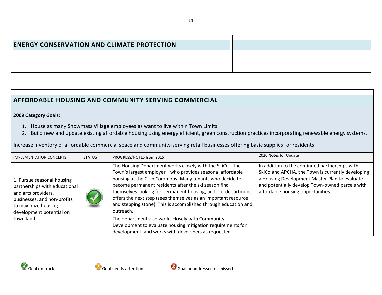| <b>ENERGY CONSERVATION AND CLIMATE PROTECTION</b> |  |  |
|---------------------------------------------------|--|--|
|                                                   |  |  |

## **AFFORDABLE HOUSING AND COMMUNITY SERVING COMMERCIAL**

### **2009 Category Goals:**

- 1. House as many Snowmass Village employees as want to live within Town Limits
- 2. Build new and update existing affordable housing using energy efficient, green construction practices incorporating renewable energy systems.

Increase inventory of affordable commercial space and community-serving retail businesses offering basic supplies for residents.

<span id="page-10-0"></span>

| <b>IMPLEMENTATION CONCEPTS</b>                                                                                                                                       | <b>STATUS</b>                                                                                                                                                           | PROGRESS/NOTES from 2015                                                                                                                                                                                                                                                                                                                                                                                                                                 | 2020 Notes for Update                                                                                                                                                                                                                        |
|----------------------------------------------------------------------------------------------------------------------------------------------------------------------|-------------------------------------------------------------------------------------------------------------------------------------------------------------------------|----------------------------------------------------------------------------------------------------------------------------------------------------------------------------------------------------------------------------------------------------------------------------------------------------------------------------------------------------------------------------------------------------------------------------------------------------------|----------------------------------------------------------------------------------------------------------------------------------------------------------------------------------------------------------------------------------------------|
| 1. Pursue seasonal housing<br>partnerships with educational<br>and arts providers,<br>businesses, and non-profits<br>to maximize housing<br>development potential on |                                                                                                                                                                         | The Housing Department works closely with the SkiCo-the<br>Town's largest employer-who provides seasonal affordable<br>housing at the Club Commons. Many tenants who decide to<br>become permanent residents after the ski season find<br>themselves looking for permanent housing, and our department<br>offers the next step (sees themselves as an important resource<br>and stepping stone). This is accomplished through education and<br>outreach. | In addition to the continued partnerships with<br>SkiCo and APCHA, the Town is currently developing<br>a Housing Development Master Plan to evaluate<br>and potentially develop Town-owned parcels with<br>affordable housing opportunities. |
| town land                                                                                                                                                            | The department also works closely with Community<br>Development to evaluate housing mitigation requirements for<br>development, and works with developers as requested. |                                                                                                                                                                                                                                                                                                                                                                                                                                                          |                                                                                                                                                                                                                                              |

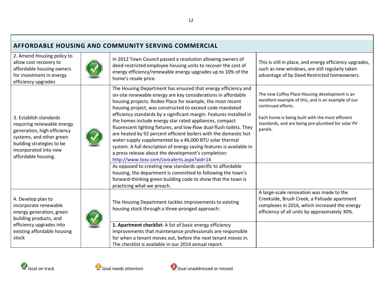| AFFORDABLE HOUSING AND COMMUNITY SERVING COMMERCIAL                                                                                                                                          |                                                                                                                                                                                                                                                                                                                                                                                                                                                                                                                                                                                                                                                                                                                                                                                                                                                                                                                                                                                                               |                                                                                                                                                                                                                                                 |  |  |
|----------------------------------------------------------------------------------------------------------------------------------------------------------------------------------------------|---------------------------------------------------------------------------------------------------------------------------------------------------------------------------------------------------------------------------------------------------------------------------------------------------------------------------------------------------------------------------------------------------------------------------------------------------------------------------------------------------------------------------------------------------------------------------------------------------------------------------------------------------------------------------------------------------------------------------------------------------------------------------------------------------------------------------------------------------------------------------------------------------------------------------------------------------------------------------------------------------------------|-------------------------------------------------------------------------------------------------------------------------------------------------------------------------------------------------------------------------------------------------|--|--|
| 2. Amend Housing policy to<br>allow cost recovery to<br>affordable housing owners<br>for investment in energy<br>efficiency upgrades                                                         | In 2012 Town Council passed a resolution allowing owners of<br>deed-restricted employee housing units to recover the cost of<br>energy efficiency/renewable energy upgrades up to 10% of the<br>home's resale price.                                                                                                                                                                                                                                                                                                                                                                                                                                                                                                                                                                                                                                                                                                                                                                                          | This is still in place, and energy efficiency upgrades,<br>such as new windows, are still regularly taken<br>advantage of by Deed Restricted homeowners.                                                                                        |  |  |
| 3. Establish standards<br>requiring renewable energy<br>generation, high efficiency<br>systems, and other green<br>building strategies to be<br>incorporated into new<br>affordable housing. | The Housing Department has ensured that energy efficiency and<br>on-site renewable energy are key considerations in affordable<br>housing projects. Rodeo Place for example, the most recent<br>housing project, was constructed to exceed code mandated<br>efficiency standards by a significant margin. Features installed in<br>the homes include energy star rated appliances, compact<br>fluorescent lighting fixtures, and low-flow dual-flush toilets. They<br>are heated by 92 percent efficient boilers with the domestic hot<br>water supply supplemented by a 46,000 BTU solar thermal<br>system. A full description of energy saving features is available in<br>a press release about the development's completion:<br>http://www.tosv.com/civicalerts.aspx?aid=14<br>As opposed to creating new standards specific to affordable<br>housing, the department is committed to following the town's<br>forward-thinking green building code to show that the town is<br>practicing what we preach. | The new Coffey Place Housing development is an<br>excellent example of this, and is an example of our<br>continued efforts.<br>Each home is being built with the most efficient<br>standards, and are being pre-plumbed for solar PV<br>panels. |  |  |
| 4. Develop plan to<br>incorporate renewable<br>energy generation, green<br>building products, and<br>efficiency upgrades into<br>existing affordable housing<br>stock                        | The Housing Department tackles improvements to existing<br>housing stock through a three-pronged approach:<br>1. Apartment checklist: A list of basic energy efficiency<br>improvements that maintenance professionals are responsible<br>for when a tenant moves out, before the next tenant moves in.<br>The checklist is available in our 2014 annual report.                                                                                                                                                                                                                                                                                                                                                                                                                                                                                                                                                                                                                                              | A large-scale renovation was made to the<br>Creekside, Brush Creek, a Palisade apartment<br>complexes in 2016, which increased the energy<br>efficiency of all units by approximately 30%.                                                      |  |  |

Г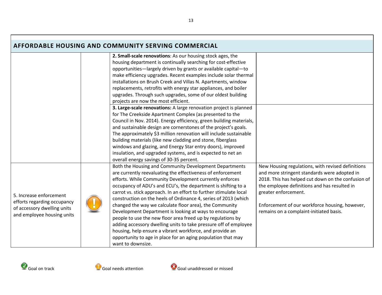|                             | <b>AFFORDABLE HOUSING AND COMMUNITY SERVING COMMERCIAL</b>          |                                                    |
|-----------------------------|---------------------------------------------------------------------|----------------------------------------------------|
|                             | 2. Small-scale renovations: As our housing stock ages, the          |                                                    |
|                             | housing department is continually searching for cost-effective      |                                                    |
|                             | opportunities-largely driven by grants or available capital-to      |                                                    |
|                             | make efficiency upgrades. Recent examples include solar thermal     |                                                    |
|                             | installations on Brush Creek and Villas N. Apartments, window       |                                                    |
|                             | replacements, retrofits with energy star appliances, and boiler     |                                                    |
|                             | upgrades. Through such upgrades, some of our oldest building        |                                                    |
|                             | projects are now the most efficient.                                |                                                    |
|                             | 3. Large-scale renovations: A large renovation project is planned   |                                                    |
|                             | for The Creekside Apartment Complex (as presented to the            |                                                    |
|                             | Council in Nov. 2014). Energy efficiency, green building materials, |                                                    |
|                             | and sustainable design are cornerstones of the project's goals.     |                                                    |
|                             | The approximately \$3 million renovation will include sustainable   |                                                    |
|                             | building materials (like new cladding and stone, fiberglass         |                                                    |
|                             | windows and glazing, and Energy Star entry doors), improved         |                                                    |
|                             | insulation, and upgraded systems, and is expected to net an         |                                                    |
|                             | overall energy savings of 30-35 percent.                            |                                                    |
|                             | Both the Housing and Community Development Departments              | New Housing regulations, with revised definitions  |
|                             | are currently reevaluating the effectiveness of enforcement         | and more stringent standards were adopted in       |
|                             | efforts. While Community Development currently enforces             | 2018. This has helped cut down on the confusion of |
|                             | occupancy of ADU's and ECU's, the department is shifting to a       | the employee definitions and has resulted in       |
| 5. Increase enforcement     | carrot vs. stick approach. In an effort to further stimulate local  | greater enforcement.                               |
| efforts regarding occupancy | construction on the heels of Ordinance 4, series of 2013 (which     |                                                    |
| of accessory dwelling units | changed the way we calculate floor area), the Community             | Enforcement of our workforce housing, however,     |
| and employee housing units  | Development Department is looking at ways to encourage              | remains on a complaint-initiated basis.            |
|                             | people to use the new floor area freed up by regulations by         |                                                    |
|                             | adding accessory dwelling units to take pressure off of employee    |                                                    |
|                             | housing, help ensure a vibrant workforce, and provide an            |                                                    |
|                             | opportunity to age in place for an aging population that may        |                                                    |
|                             | want to downsize.                                                   |                                                    |

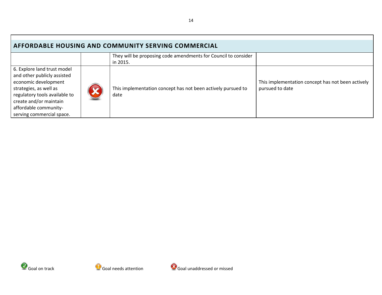| AFFORDABLE HOUSING AND COMMUNITY SERVING COMMERCIAL                                                                                                                                                                           |  |                                                                            |                                                                      |  |
|-------------------------------------------------------------------------------------------------------------------------------------------------------------------------------------------------------------------------------|--|----------------------------------------------------------------------------|----------------------------------------------------------------------|--|
|                                                                                                                                                                                                                               |  | They will be proposing code amendments for Council to consider<br>in 2015. |                                                                      |  |
| 6. Explore land trust model<br>and other publicly assisted<br>economic development<br>strategies, as well as<br>regulatory tools available to<br>create and/or maintain<br>affordable community-<br>serving commercial space. |  | This implementation concept has not been actively pursued to<br>date       | This implementation concept has not been actively<br>pursued to date |  |



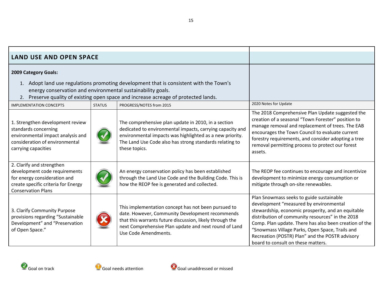<span id="page-14-0"></span>

| <b>LAND USE AND OPEN SPACE</b>                                                                                                                                 |               |                                                                                                                                                                                                                                                          |                                                                                                                                                                                                                                                                                                                                                                                                    |
|----------------------------------------------------------------------------------------------------------------------------------------------------------------|---------------|----------------------------------------------------------------------------------------------------------------------------------------------------------------------------------------------------------------------------------------------------------|----------------------------------------------------------------------------------------------------------------------------------------------------------------------------------------------------------------------------------------------------------------------------------------------------------------------------------------------------------------------------------------------------|
| 2009 Category Goals:                                                                                                                                           |               |                                                                                                                                                                                                                                                          |                                                                                                                                                                                                                                                                                                                                                                                                    |
| energy conservation and environmental sustainability goals.                                                                                                    |               | 1. Adopt land use regulations promoting development that is consistent with the Town's<br>2. Preserve quality of existing open space and increase acreage of protected lands.                                                                            |                                                                                                                                                                                                                                                                                                                                                                                                    |
| <b>IMPLEMENTATION CONCEPTS</b>                                                                                                                                 | <b>STATUS</b> | PROGRESS/NOTES from 2015                                                                                                                                                                                                                                 | 2020 Notes for Update                                                                                                                                                                                                                                                                                                                                                                              |
| 1. Strengthen development review<br>standards concerning<br>environmental impact analysis and<br>consideration of environmental<br>carrying capacities         |               | The comprehensive plan update in 2010, in a section<br>dedicated to environmental impacts, carrying capacity and<br>environmental impacts was highlighted as a new priority.<br>The Land Use Code also has strong standards relating to<br>these topics. | The 2018 Comprehensive Plan Update suggested the<br>creation of a seasonal "Town Forester" position to<br>manage removal and replacement of trees. The EAB<br>encourages the Town Council to evaluate current<br>forestry requirements, and consider adopting a tree<br>removal permitting process to protect our forest<br>assets.                                                                |
| 2. Clarify and strengthen<br>development code requirements<br>for energy consideration and<br>create specific criteria for Energy<br><b>Conservation Plans</b> |               | An energy conservation policy has been established<br>through the Land Use Code and the Building Code. This is<br>how the REOP fee is generated and collected.                                                                                           | The REOP fee continues to encourage and incentivize<br>development to minimize energy consumption or<br>mitigate through on-site renewables.                                                                                                                                                                                                                                                       |
| 3. Clarify Community Purpose<br>provisions regarding "Sustainable<br>Development" and "Preservation<br>of Open Space."                                         |               | This implementation concept has not been pursued to<br>date. However, Community Development recommends<br>that this warrants future discussion, likely through the<br>next Comprehensive Plan update and next round of Land<br>Use Code Amendments.      | Plan Snowmass seeks to guide sustainable<br>development "measured by environmental<br>stewardship, economic prosperity, and an equitable<br>distribution of community resources" in the 2018<br>Comp. Plan update. There has also been creation of the<br>"Snowmass Village Parks, Open Space, Trails and<br>Recreation (POSTR) Plan" and the POSTR advisory<br>board to consult on these matters. |

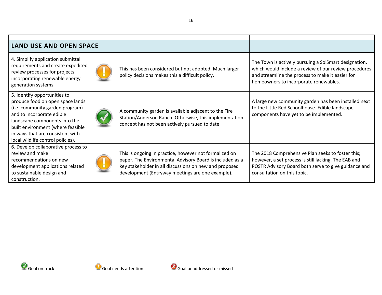| <b>LAND USE AND OPEN SPACE</b>                                                                                                                                                                                                                                                  |  |                                                                                                                                                                                                                                  |                                                                                                                                                                                                             |
|---------------------------------------------------------------------------------------------------------------------------------------------------------------------------------------------------------------------------------------------------------------------------------|--|----------------------------------------------------------------------------------------------------------------------------------------------------------------------------------------------------------------------------------|-------------------------------------------------------------------------------------------------------------------------------------------------------------------------------------------------------------|
| 4. Simplify application submittal<br>requirements and create expedited<br>review processes for projects<br>incorporating renewable energy<br>generation systems.                                                                                                                |  | This has been considered but not adopted. Much larger<br>policy decisions makes this a difficult policy.                                                                                                                         | The Town is actively pursuing a SolSmart designation,<br>which would include a review of our review procedures<br>and streamline the process to make it easier for<br>homeowners to incorporate renewables. |
| 5. Identify opportunities to<br>produce food on open space lands<br>(i.e. community garden program)<br>and to incorporate edible<br>landscape components into the<br>built environment (where feasible<br>in ways that are consistent with<br>local wildlife control policies). |  | A community garden is available adjacent to the Fire<br>Station/Anderson Ranch. Otherwise, this implementation<br>concept has not been actively pursued to date.                                                                 | A large new community garden has been installed next<br>to the Little Red Schoolhouse. Edible landscape<br>components have yet to be implemented.                                                           |
| 6. Develop collaborative process to<br>review and make<br>recommendations on new<br>development applications related<br>to sustainable design and<br>construction.                                                                                                              |  | This is ongoing in practice, however not formalized on<br>paper. The Environmental Advisory Board is included as a<br>key stakeholder in all discussions on new and proposed<br>development (Entryway meetings are one example). | The 2018 Comprehensive Plan seeks to foster this;<br>however, a set process is still lacking. The EAB and<br>POSTR Advisory Board both serve to give guidance and<br>consultation on this topic.            |



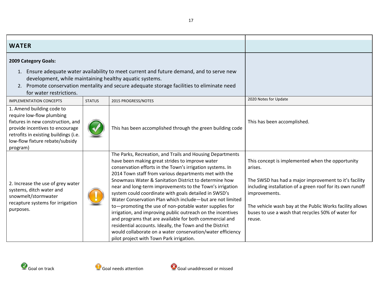<span id="page-16-0"></span>

| <b>WATER</b>                                                                                                                                                                                                                                                                     |               |                                                                                                                                                                                                                                                                                                                                                                                                                                                                                                                                                                                                                                                                                                                                                                                                                                         |                                                                                                                                                                                                                                                                                                                                |
|----------------------------------------------------------------------------------------------------------------------------------------------------------------------------------------------------------------------------------------------------------------------------------|---------------|-----------------------------------------------------------------------------------------------------------------------------------------------------------------------------------------------------------------------------------------------------------------------------------------------------------------------------------------------------------------------------------------------------------------------------------------------------------------------------------------------------------------------------------------------------------------------------------------------------------------------------------------------------------------------------------------------------------------------------------------------------------------------------------------------------------------------------------------|--------------------------------------------------------------------------------------------------------------------------------------------------------------------------------------------------------------------------------------------------------------------------------------------------------------------------------|
| 2009 Category Goals:                                                                                                                                                                                                                                                             |               |                                                                                                                                                                                                                                                                                                                                                                                                                                                                                                                                                                                                                                                                                                                                                                                                                                         |                                                                                                                                                                                                                                                                                                                                |
| Ensure adequate water availability to meet current and future demand, and to serve new<br>1.<br>development, while maintaining healthy aquatic systems.<br>2. Promote conservation mentality and secure adequate storage facilities to eliminate need<br>for water restrictions. |               |                                                                                                                                                                                                                                                                                                                                                                                                                                                                                                                                                                                                                                                                                                                                                                                                                                         |                                                                                                                                                                                                                                                                                                                                |
| <b>IMPLEMENTATION CONCEPTS</b>                                                                                                                                                                                                                                                   | <b>STATUS</b> | 2015 PROGRESS/NOTES                                                                                                                                                                                                                                                                                                                                                                                                                                                                                                                                                                                                                                                                                                                                                                                                                     | 2020 Notes for Update                                                                                                                                                                                                                                                                                                          |
| 1. Amend building code to<br>require low-flow plumbing<br>fixtures in new construction, and<br>provide incentives to encourage<br>retrofits in existing buildings (i.e.<br>low-flow fixture rebate/subsidy<br>program)                                                           |               | This has been accomplished through the green building code                                                                                                                                                                                                                                                                                                                                                                                                                                                                                                                                                                                                                                                                                                                                                                              | This has been accomplished.                                                                                                                                                                                                                                                                                                    |
| 2. Increase the use of grey water<br>systems, ditch water and<br>snowmelt/stormwater<br>recapture systems for irrigation<br>purposes.                                                                                                                                            |               | The Parks, Recreation, and Trails and Housing Departments<br>have been making great strides to improve water<br>conservation efforts in the Town's irrigation systems. In<br>2014 Town staff from various departments met with the<br>Snowmass Water & Sanitation District to determine how<br>near and long-term improvements to the Town's irrigation<br>system could coordinate with goals detailed in SWSD's<br>Water Conservation Plan which include-but are not limited<br>to-promoting the use of non-potable water supplies for<br>irrigation, and improving public outreach on the incentives<br>and programs that are available for both commercial and<br>residential accounts. Ideally, the Town and the District<br>would collaborate on a water conservation/water efficiency<br>pilot project with Town Park irrigation. | This concept is implemented when the opportunity<br>arises.<br>The SWSD has had a major improvement to it's facility<br>including installation of a green roof for its own runoff<br>improvements.<br>The vehicle wash bay at the Public Works facility allows<br>buses to use a wash that recycles 50% of water for<br>reuse. |

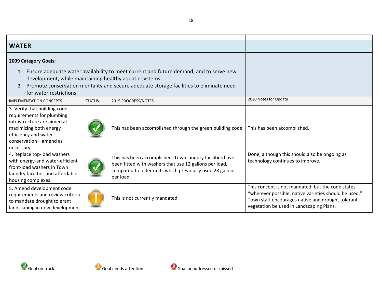| <b>WATER</b>                                                                                                                                                                                                                                                                        |               |                                                                                                                                                                                             |                                                                                                                                                                                                             |
|-------------------------------------------------------------------------------------------------------------------------------------------------------------------------------------------------------------------------------------------------------------------------------------|---------------|---------------------------------------------------------------------------------------------------------------------------------------------------------------------------------------------|-------------------------------------------------------------------------------------------------------------------------------------------------------------------------------------------------------------|
| 2009 Category Goals:                                                                                                                                                                                                                                                                |               |                                                                                                                                                                                             |                                                                                                                                                                                                             |
| Ensure adequate water availability to meet current and future demand, and to serve new<br>1.<br>development, while maintaining healthy aquatic systems.<br>Promote conservation mentality and secure adequate storage facilities to eliminate need<br>2.<br>for water restrictions. |               |                                                                                                                                                                                             |                                                                                                                                                                                                             |
| <b>IMPLEMENTATION CONCEPTS</b>                                                                                                                                                                                                                                                      | <b>STATUS</b> | 2015 PROGRESS/NOTES                                                                                                                                                                         | 2020 Notes for Update                                                                                                                                                                                       |
| 3. Verify that building code<br>requirements for plumbing<br>infrastructure are aimed at<br>maximizing both energy<br>efficiency and water<br>conservation-amend as<br>necessary                                                                                                    |               | This has been accomplished through the green building code                                                                                                                                  | This has been accomplished.                                                                                                                                                                                 |
| 4. Replace top-load washers<br>with energy-and water-efficient<br>front-load washers in Town<br>laundry facilities and affordable<br>housing complexes.                                                                                                                             |               | This has been accomplished. Town laundry facilities have<br>been fitted with washers that use 12 gallons per load,<br>compared to older units which previously used 28 gallons<br>per load. | Done, although this should also be ongoing as<br>technology continues to improve.                                                                                                                           |
| 5. Amend development code<br>requirements and review criteria<br>to mandate drought tolerant<br>landscaping in new development                                                                                                                                                      |               | This is not currently mandated                                                                                                                                                              | This concept is not mandated, but the code states<br>"wherever possible, native varieties should be used."<br>Town staff encourages native and drought tolerant<br>vegetation be used in Landscaping Plans. |



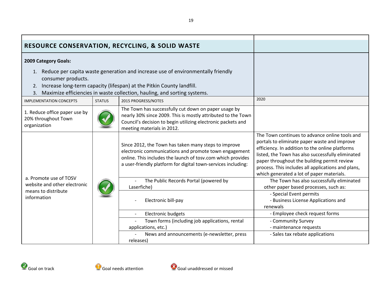<span id="page-18-0"></span>

| <b>RESOURCE CONSERVATION, RECYCLING, &amp; SOLID WASTE</b>                                                                                                                                                                                                             |               |                                                                                                                                                                                                                                               |                                                                                                                                                                                                                                                                                                                                                          |
|------------------------------------------------------------------------------------------------------------------------------------------------------------------------------------------------------------------------------------------------------------------------|---------------|-----------------------------------------------------------------------------------------------------------------------------------------------------------------------------------------------------------------------------------------------|----------------------------------------------------------------------------------------------------------------------------------------------------------------------------------------------------------------------------------------------------------------------------------------------------------------------------------------------------------|
| 2009 Category Goals:                                                                                                                                                                                                                                                   |               |                                                                                                                                                                                                                                               |                                                                                                                                                                                                                                                                                                                                                          |
| 1. Reduce per capita waste generation and increase use of environmentally friendly<br>consumer products.<br>2. Increase long-term capacity (lifespan) at the Pitkin County landfill.<br>Maximize efficiencies in waste collection, hauling, and sorting systems.<br>3. |               |                                                                                                                                                                                                                                               |                                                                                                                                                                                                                                                                                                                                                          |
| <b>IMPLEMENTATION CONCEPTS</b>                                                                                                                                                                                                                                         | <b>STATUS</b> | 2015 PROGRESS/NOTES                                                                                                                                                                                                                           | 2020                                                                                                                                                                                                                                                                                                                                                     |
| 1. Reduce office paper use by<br>20% throughout Town<br>organization                                                                                                                                                                                                   |               | The Town has successfully cut down on paper usage by<br>nearly 30% since 2009. This is mostly attributed to the Town<br>Council's decision to begin utilizing electronic packets and<br>meeting materials in 2012.                            |                                                                                                                                                                                                                                                                                                                                                          |
|                                                                                                                                                                                                                                                                        |               | Since 2012, the Town has taken many steps to improve<br>electronic communications and promote town engagement<br>online. This includes the launch of tosv.com which provides<br>a user-friendly platform for digital town-services including: | The Town continues to advance online tools and<br>portals to eliminate paper waste and improve<br>efficiency. In addition to the online platforms<br>listed, the Town has also successfully eliminated<br>paper throughout the building permit review<br>process. This includes all applications and plans,<br>which generated a lot of paper materials. |
| a. Promote use of TOSV<br>website and other electronic                                                                                                                                                                                                                 |               | The Public Records Portal (powered by<br>Laserfiche)                                                                                                                                                                                          | The Town has also successfully eliminated<br>other paper based processes, such as:                                                                                                                                                                                                                                                                       |
| means to distribute<br>information                                                                                                                                                                                                                                     |               | Electronic bill-pay                                                                                                                                                                                                                           | - Special Event permits<br>- Business License Applications and<br>renewals                                                                                                                                                                                                                                                                               |
|                                                                                                                                                                                                                                                                        |               | Electronic budgets<br>$\overline{\phantom{a}}$                                                                                                                                                                                                | - Employee check request forms                                                                                                                                                                                                                                                                                                                           |
|                                                                                                                                                                                                                                                                        |               | Town forms (including job applications, rental                                                                                                                                                                                                | - Community Survey                                                                                                                                                                                                                                                                                                                                       |
|                                                                                                                                                                                                                                                                        |               | applications, etc.)                                                                                                                                                                                                                           | - maintenance requests                                                                                                                                                                                                                                                                                                                                   |
|                                                                                                                                                                                                                                                                        |               | News and announcements (e-newsletter, press                                                                                                                                                                                                   | - Sales tax rebate applications                                                                                                                                                                                                                                                                                                                          |
|                                                                                                                                                                                                                                                                        |               | releases)                                                                                                                                                                                                                                     |                                                                                                                                                                                                                                                                                                                                                          |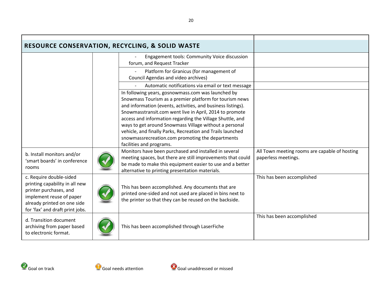| <b>RESOURCE CONSERVATION, RECYCLING, &amp; SOLID WASTE</b>                                                                                                                        |                                                                                                                                                                                                                                                                                                                                                                                                                                                                                                               |                                                                      |
|-----------------------------------------------------------------------------------------------------------------------------------------------------------------------------------|---------------------------------------------------------------------------------------------------------------------------------------------------------------------------------------------------------------------------------------------------------------------------------------------------------------------------------------------------------------------------------------------------------------------------------------------------------------------------------------------------------------|----------------------------------------------------------------------|
|                                                                                                                                                                                   | Engagement tools: Community Voice discussion<br>forum, and Request Tracker                                                                                                                                                                                                                                                                                                                                                                                                                                    |                                                                      |
|                                                                                                                                                                                   | Platform for Granicus (for management of<br>Council Agendas and video archives)                                                                                                                                                                                                                                                                                                                                                                                                                               |                                                                      |
|                                                                                                                                                                                   | Automatic notifications via email or text message                                                                                                                                                                                                                                                                                                                                                                                                                                                             |                                                                      |
|                                                                                                                                                                                   | In following years, gosnowmass.com was launched by<br>Snowmass Tourism as a premier platform for tourism news<br>and information (events, activities, and business listings).<br>Snowmasstransit.com went live in April, 2014 to promote<br>access and information regarding the Village Shuttle, and<br>ways to get around Snowmass Village without a personal<br>vehicle, and finally Parks, Recreation and Trails launched<br>snowmassrecreation.com promoting the departments<br>facilities and programs. |                                                                      |
| b. Install monitors and/or<br>'smart boards' in conference<br>rooms                                                                                                               | Monitors have been purchased and installed in several<br>meeting spaces, but there are still improvements that could<br>be made to make this equipment easier to use and a better<br>alternative to printing presentation materials.                                                                                                                                                                                                                                                                          | All Town meeting rooms are capable of hosting<br>paperless meetings. |
| c. Require double-sided<br>printing capability in all new<br>printer purchases, and<br>implement reuse of paper<br>already printed on one side<br>for 'fax' and draft print jobs. | This has been accomplished. Any documents that are<br>printed one-sided and not used are placed in bins next to<br>the printer so that they can be reused on the backside.                                                                                                                                                                                                                                                                                                                                    | This has been accomplished                                           |
| d. Transition document<br>archiving from paper based<br>to electronic format.                                                                                                     | This has been accomplished through LaserFiche                                                                                                                                                                                                                                                                                                                                                                                                                                                                 | This has been accomplished                                           |

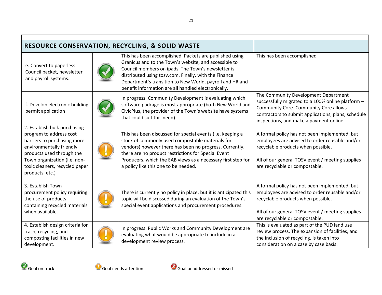| <b>RESOURCE CONSERVATION, RECYCLING, &amp; SOLID WASTE</b>                                                                                                                                                                           |                                                                                                                                                                                                                                                                                                                                                    |                                                                                                                                                                                                                                             |
|--------------------------------------------------------------------------------------------------------------------------------------------------------------------------------------------------------------------------------------|----------------------------------------------------------------------------------------------------------------------------------------------------------------------------------------------------------------------------------------------------------------------------------------------------------------------------------------------------|---------------------------------------------------------------------------------------------------------------------------------------------------------------------------------------------------------------------------------------------|
| e. Convert to paperless<br>Council packet, newsletter<br>and payroll systems.                                                                                                                                                        | This has been accomplished. Packets are published using<br>Granicus and to the Town's website, and accessible to<br>Council members on ipads. The Town's newsletter is<br>distributed using tosv.com. Finally, with the Finance<br>Department's transition to New World, payroll and HR and<br>benefit information are all handled electronically. | This has been accomplished                                                                                                                                                                                                                  |
| f. Develop electronic building<br>permit application                                                                                                                                                                                 | In progress. Community Development is evaluating which<br>software package is most appropriate (both New World and<br>CivicPlus, the provider of the Town's website have systems<br>that could suit this need).                                                                                                                                    | The Community Development Department<br>successfully migrated to a 100% online platform -<br><b>Community Core. Community Core allows</b><br>contractors to submit applications, plans, schedule<br>inspections, and make a payment online. |
| 2. Establish bulk purchasing<br>program to address cost<br>barriers to purchasing more<br>environmentally friendly<br>products used through the<br>Town organization (i.e. non-<br>toxic cleaners, recycled paper<br>products, etc.) | This has been discussed for special events (i.e. keeping a<br>stock of commonly used compostable materials for<br>vendors) however there has been no progress. Currently,<br>there are no product restrictions for Special Event<br>Producers, which the EAB views as a necessary first step for<br>a policy like this one to be needed.           | A formal policy has not been implemented, but<br>employees are advised to order reusable and/or<br>recyclable products when possible.<br>All of our general TOSV event / meeting supplies<br>are recyclable or compostable.                 |
| 3. Establish Town<br>procurement policy requiring<br>the use of products<br>containing recycled materials<br>when available.                                                                                                         | There is currently no policy in place, but it is anticipated this<br>topic will be discussed during an evaluation of the Town's<br>special event applications and procurement procedures.                                                                                                                                                          | A formal policy has not been implemented, but<br>employees are advised to order reusable and/or<br>recyclable products when possible.<br>All of our general TOSV event / meeting supplies<br>are recyclable or compostable.                 |
| 4. Establish design criteria for<br>trash, recycling, and<br>composting facilities in new<br>development.                                                                                                                            | In progress. Public Works and Community Development are<br>evaluating what would be appropriate to include in a<br>development review process.                                                                                                                                                                                                     | This is evaluated as part of the PUD land use<br>review process. The expansion of facilities, and<br>the inclusion of recycling, is taken into<br>consideration on a case by case basis.                                                    |

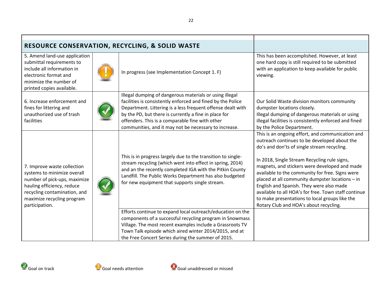| <b>RESOURCE CONSERVATION, RECYCLING, &amp; SOLID WASTE</b>                                                                                                                                               |                                                                                                                                                                                                                                                                                                                                                                  |                                                                                                                                                                                                                                                                                                                                                                                                                                                                                                                                                        |
|----------------------------------------------------------------------------------------------------------------------------------------------------------------------------------------------------------|------------------------------------------------------------------------------------------------------------------------------------------------------------------------------------------------------------------------------------------------------------------------------------------------------------------------------------------------------------------|--------------------------------------------------------------------------------------------------------------------------------------------------------------------------------------------------------------------------------------------------------------------------------------------------------------------------------------------------------------------------------------------------------------------------------------------------------------------------------------------------------------------------------------------------------|
| 5. Amend land-use application<br>submittal requirements to<br>include all information in<br>electronic format and<br>minimize the number of<br>printed copies available.                                 | In progress (see Implementation Concept 1. F)                                                                                                                                                                                                                                                                                                                    | This has been accomplished. However, at least<br>one hard copy is still required to be submitted<br>with an application to keep available for public<br>viewing.                                                                                                                                                                                                                                                                                                                                                                                       |
| 6. Increase enforcement and<br>fines for littering and<br>unauthorized use of trash<br>facilities                                                                                                        | Illegal dumping of dangerous materials or using illegal<br>facilities is consistently enforced and fined by the Police<br>Department. Littering is a less frequent offense dealt with<br>by the PD, but there is currently a fine in place for<br>offenders. This is a comparable fine with other<br>communities, and it may not be necessary to increase.       | Our Solid Waste division monitors community<br>dumpster locations closely.<br>Illegal dumping of dangerous materials or using<br>illegal facilities is consistently enforced and fined<br>by the Police Department.                                                                                                                                                                                                                                                                                                                                    |
| 7. Improve waste collection<br>systems to minimize overall<br>number of pick-ups, maximize<br>hauling efficiency, reduce<br>recycling contamination, and<br>maximize recycling program<br>participation. | This is in progress largely due to the transition to single-<br>stream recycling (which went into effect in spring, 2014)<br>and an the recently completed IGA with the Pitkin County<br>Landfill. The Public Works Department has also budgeted<br>for new equipment that supports single stream.<br>Efforts continue to expand local outreach/education on the | This is an ongoing effort, and communication and<br>outreach continues to be developed about the<br>do's and don'ts of single stream recycling.<br>In 2018, Single Stream Recycling rule signs,<br>magnets, and stickers were developed and made<br>available to the community for free. Signs were<br>placed at all community dumpster locations - in<br>English and Spanish. They were also made<br>available to all HOA's for free. Town staff continue<br>to make presentations to local groups like the<br>Rotary Club and HOA's about recycling. |
|                                                                                                                                                                                                          | components of a successful recycling program in Snowmass                                                                                                                                                                                                                                                                                                         |                                                                                                                                                                                                                                                                                                                                                                                                                                                                                                                                                        |
|                                                                                                                                                                                                          | Village. The most recent examples include a Grassroots TV<br>Town Talk episode which aired winter 2014/2015, and at                                                                                                                                                                                                                                              |                                                                                                                                                                                                                                                                                                                                                                                                                                                                                                                                                        |
|                                                                                                                                                                                                          | the Free Concert Series during the summer of 2015.                                                                                                                                                                                                                                                                                                               |                                                                                                                                                                                                                                                                                                                                                                                                                                                                                                                                                        |

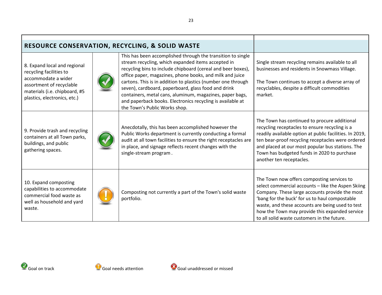| <b>RESOURCE CONSERVATION, RECYCLING, &amp; SOLID WASTE</b>                                                                                                                  |  |                                                                                                                                                                                                                                                                                                                                                                                                                                                                                                                                 |                                                                                                                                                                                                                                                                                                                                                           |
|-----------------------------------------------------------------------------------------------------------------------------------------------------------------------------|--|---------------------------------------------------------------------------------------------------------------------------------------------------------------------------------------------------------------------------------------------------------------------------------------------------------------------------------------------------------------------------------------------------------------------------------------------------------------------------------------------------------------------------------|-----------------------------------------------------------------------------------------------------------------------------------------------------------------------------------------------------------------------------------------------------------------------------------------------------------------------------------------------------------|
| 8. Expand local and regional<br>recycling facilities to<br>accommodate a wider<br>assortment of recyclable<br>materials (i.e. chipboard, #5<br>plastics, electronics, etc.) |  | This has been accomplished through the transition to single<br>stream recycling, which expanded items accepted in<br>recycling bins to include chipboard (cereal and beer boxes),<br>office paper, magazines, phone books, and milk and juice<br>cartons. This is in addition to plastics (number one through<br>seven), cardboard, paperboard, glass food and drink<br>containers, metal cans, aluminum, magazines, paper bags,<br>and paperback books. Electronics recycling is available at<br>the Town's Public Works shop. | Single stream recycling remains available to all<br>businesses and residents in Snowmass Village.<br>The Town continues to accept a diverse array of<br>recyclables, despite a difficult commodities<br>market.                                                                                                                                           |
| 9. Provide trash and recycling<br>containers at all Town parks,<br>buildings, and public<br>gathering spaces.                                                               |  | Anecdotally, this has been accomplished however the<br>Public Works department is currently conducting a formal<br>audit at all town facilities to ensure the right receptacles are<br>in place, and signage reflects recent changes with the<br>single-stream program.                                                                                                                                                                                                                                                         | The Town has continued to procure additional<br>recycling receptacles to ensure recycling is a<br>readily available option at public facilities. In 2019,<br>ten bear-proof recycling receptacles were ordered<br>and placed at our most popular bus stations. The<br>Town has budgeted funds in 2020 to purchase<br>another ten receptacles.             |
| 10. Expand composting<br>capabilities to accommodate<br>commercial food waste as<br>well as household and yard<br>waste.                                                    |  | Composting not currently a part of the Town's solid waste<br>portfolio.                                                                                                                                                                                                                                                                                                                                                                                                                                                         | The Town now offers composting services to<br>select commercial accounts - like the Aspen Skiing<br>Company. These large accounts provide the most<br>'bang for the buck' for us to haul compostable<br>waste, and these accounts are being used to test<br>how the Town may provide this expanded service<br>to all solid waste customers in the future. |



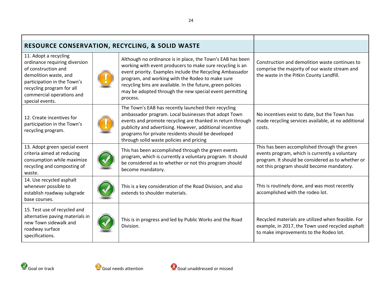| <b>RESOURCE CONSERVATION, RECYCLING, &amp; SOLID WASTE</b>                                                                                                                                                         |  |                                                                                                                                                                                                                                                                                                                                                                                |                                                                                                                                                                                                  |
|--------------------------------------------------------------------------------------------------------------------------------------------------------------------------------------------------------------------|--|--------------------------------------------------------------------------------------------------------------------------------------------------------------------------------------------------------------------------------------------------------------------------------------------------------------------------------------------------------------------------------|--------------------------------------------------------------------------------------------------------------------------------------------------------------------------------------------------|
| 11. Adopt a recycling<br>ordinance requiring diversion<br>of construction and<br>demolition waste, and<br>participation in the Town's<br>recycling program for all<br>commercial operations and<br>special events. |  | Although no ordinance is in place, the Town's EAB has been<br>working with event producers to make sure recycling is an<br>event priority. Examples include the Recycling Ambassador<br>program, and working with the Rodeo to make sure<br>recycling bins are available. In the future, green policies<br>may be adopted through the new special event permitting<br>process. | Construction and demolition waste continues to<br>comprise the majority of our waste stream and<br>the waste in the Pitkin County Landfill.                                                      |
| 12. Create incentives for<br>participation in the Town's<br>recycling program.                                                                                                                                     |  | The Town's EAB has recently launched their recycling<br>ambassador program. Local businesses that adopt Town<br>events and promote recycling are thanked in return through<br>publicity and advertising. However, additional incentive<br>programs for private residents should be developed<br>through solid waste policies and pricing                                       | No incentives exist to date, but the Town has<br>made recycling services available, at no additional<br>costs.                                                                                   |
| 13. Adopt green special event<br>criteria aimed at reducing<br>consumption while maximize<br>recycling and composting of<br>waste.                                                                                 |  | This has been accomplished through the green events<br>program, which is currently a voluntary program. It should<br>be considered as to whether or not this program should<br>become mandatory.                                                                                                                                                                               | This has been accomplished through the green<br>events program, which is currently a voluntary<br>program. It should be considered as to whether or<br>not this program should become mandatory. |
| 14. Use recycled asphalt<br>whenever possible to<br>establish roadway subgrade<br>base courses.                                                                                                                    |  | This is a key consideration of the Road Division, and also<br>extends to shoulder materials.                                                                                                                                                                                                                                                                                   | This is routinely done, and was most recently<br>accomplished with the rodeo lot.                                                                                                                |
| 15. Test use of recycled and<br>alternative paving materials in<br>new Town sidewalk and<br>roadway surface<br>specifications.                                                                                     |  | This is in progress and led by Public Works and the Road<br>Division.                                                                                                                                                                                                                                                                                                          | Recycled materials are utilized when feasible. For<br>example, in 2017, the Town used recycled asphalt<br>to make improvements to the Rodeo lot.                                                 |





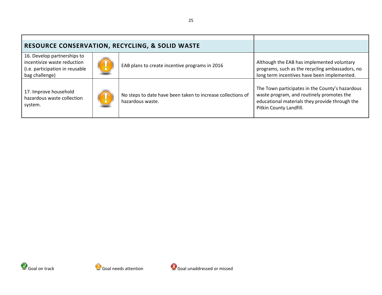| <b>RESOURCE CONSERVATION, RECYCLING, &amp; SOLID WASTE</b>                                                      |  |                                                                                 |                                                                                                                                                                           |
|-----------------------------------------------------------------------------------------------------------------|--|---------------------------------------------------------------------------------|---------------------------------------------------------------------------------------------------------------------------------------------------------------------------|
| 16. Develop partnerships to<br>incentivize waste reduction<br>(i.e. participation in reusable<br>bag challenge) |  | EAB plans to create incentive programs in 2016                                  | Although the EAB has implemented voluntary<br>programs, such as the recycling ambassadors, no<br>long term incentives have been implemented.                              |
| 17. Improve household<br>hazardous waste collection<br>system.                                                  |  | No steps to date have been taken to increase collections of<br>hazardous waste. | The Town participates in the County's hazardous<br>waste program, and routinely promotes the<br>educational materials they provide through the<br>Pitkin County Landfill. |



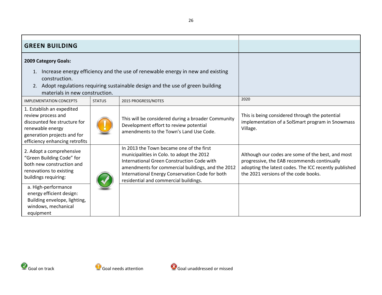<span id="page-25-0"></span>

| <b>GREEN BUILDING</b>                                                                                                                                                |               |                                                                                                                                                                                                                                                                                      |                                                                                                                                                                                                   |
|----------------------------------------------------------------------------------------------------------------------------------------------------------------------|---------------|--------------------------------------------------------------------------------------------------------------------------------------------------------------------------------------------------------------------------------------------------------------------------------------|---------------------------------------------------------------------------------------------------------------------------------------------------------------------------------------------------|
| 2009 Category Goals:                                                                                                                                                 |               |                                                                                                                                                                                                                                                                                      |                                                                                                                                                                                                   |
| 1. Increase energy efficiency and the use of renewable energy in new and existing<br>construction.                                                                   |               |                                                                                                                                                                                                                                                                                      |                                                                                                                                                                                                   |
| 2.<br>materials in new construction.                                                                                                                                 |               | Adopt regulations requiring sustainable design and the use of green building                                                                                                                                                                                                         |                                                                                                                                                                                                   |
| <b>IMPLEMENTATION CONCEPTS</b>                                                                                                                                       | <b>STATUS</b> | 2015 PROGRESS/NOTES                                                                                                                                                                                                                                                                  | 2020                                                                                                                                                                                              |
| 1. Establish an expedited<br>review process and<br>discounted fee structure for<br>renewable energy<br>generation projects and for<br>efficiency enhancing retrofits |               | This will be considered during a broader Community<br>Development effort to review potential<br>amendments to the Town's Land Use Code.                                                                                                                                              | This is being considered through the potential<br>implementation of a SolSmart program in Snowmass<br>Village.                                                                                    |
| 2. Adopt a comprehensive<br>"Green Building Code" for<br>both new construction and<br>renovations to existing<br>buildings requiring:                                |               | In 2013 the Town became one of the first<br>municipalities in Colo. to adopt the 2012<br>International Green Construction Code with<br>amendments for commercial buildings, and the 2012<br>International Energy Conservation Code for both<br>residential and commercial buildings. | Although our codes are some of the best, and most<br>progressive, the EAB recommends continually<br>adopting the latest codes. The ICC recently published<br>the 2021 versions of the code books. |
| a. High-performance<br>energy efficient design:<br>Building envelope, lighting,<br>windows, mechanical<br>equipment                                                  |               |                                                                                                                                                                                                                                                                                      |                                                                                                                                                                                                   |



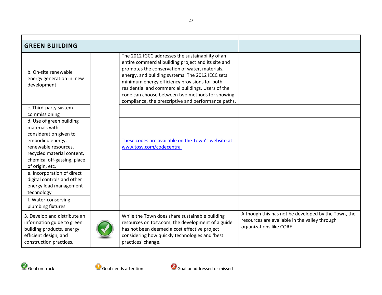| <b>GREEN BUILDING</b>                                                                                                                                                                                                                                                                                |  |                                                                                                                                                                                                                                                                                                                                                                                                                                |                                                                                                                                  |
|------------------------------------------------------------------------------------------------------------------------------------------------------------------------------------------------------------------------------------------------------------------------------------------------------|--|--------------------------------------------------------------------------------------------------------------------------------------------------------------------------------------------------------------------------------------------------------------------------------------------------------------------------------------------------------------------------------------------------------------------------------|----------------------------------------------------------------------------------------------------------------------------------|
| b. On-site renewable<br>energy generation in new<br>development                                                                                                                                                                                                                                      |  | The 2012 IGCC addresses the sustainability of an<br>entire commercial building project and its site and<br>promotes the conservation of water, materials,<br>energy, and building systems. The 2012 IECC sets<br>minimum energy efficiency provisions for both<br>residential and commercial buildings. Users of the<br>code can choose between two methods for showing<br>compliance, the prescriptive and performance paths. |                                                                                                                                  |
| c. Third-party system<br>commissioning                                                                                                                                                                                                                                                               |  |                                                                                                                                                                                                                                                                                                                                                                                                                                |                                                                                                                                  |
| d. Use of green building<br>materials with<br>consideration given to<br>embodied energy,<br>renewable resources,<br>recycled material content,<br>chemical off-gassing, place<br>of origin, etc.<br>e. Incorporation of direct<br>digital controls and other<br>energy load management<br>technology |  | These codes are available on the Town's website at<br>www.tosv.com/codecentral                                                                                                                                                                                                                                                                                                                                                 |                                                                                                                                  |
| f. Water-conserving<br>plumbing fixtures                                                                                                                                                                                                                                                             |  |                                                                                                                                                                                                                                                                                                                                                                                                                                |                                                                                                                                  |
| 3. Develop and distribute an<br>information guide to green<br>building products, energy<br>efficient design, and<br>construction practices.                                                                                                                                                          |  | While the Town does share sustainable building<br>resources on tosv.com, the development of a guide<br>has not been deemed a cost effective project<br>considering how quickly technologies and 'best<br>practices' change.                                                                                                                                                                                                    | Although this has not be developed by the Town, the<br>resources are available in the valley through<br>organizations like CORE. |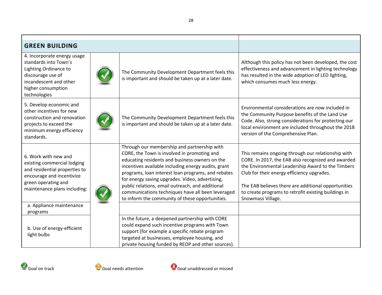| <b>GREEN BUILDING</b>                                                                                                                                                    |  |                                                                                                                                                                                                                                                                                                                                                                                                                                                                          |                                                                                                                                                                                                                                                                                                                                                 |
|--------------------------------------------------------------------------------------------------------------------------------------------------------------------------|--|--------------------------------------------------------------------------------------------------------------------------------------------------------------------------------------------------------------------------------------------------------------------------------------------------------------------------------------------------------------------------------------------------------------------------------------------------------------------------|-------------------------------------------------------------------------------------------------------------------------------------------------------------------------------------------------------------------------------------------------------------------------------------------------------------------------------------------------|
| 4. Incorporate energy usage<br>standards into Town's<br>Lighting Ordinance to<br>discourage use of<br>incandescent and other<br>higher consumption<br>technologies       |  | The Community Development Department feels this<br>is important and should be taken up at a later date.                                                                                                                                                                                                                                                                                                                                                                  | Although this policy has not been developed, the cost<br>effectiveness and advancement in lighting technology<br>has resulted in the wide adoption of LED lighting,<br>which consumes much less energy.                                                                                                                                         |
| 5. Develop economic and<br>other incentives for new<br>construction and renovation<br>projects to exceed the<br>minimum energy efficiency<br>standards.                  |  | The Community Development Department feels this<br>is important and should be taken up at a later date.                                                                                                                                                                                                                                                                                                                                                                  | Environmental considerations are now included in<br>the Community Purpose benefits of the Land Use<br>Code. Also, strong considerations for protecting our<br>local environment are included throughout the 2018<br>version of the Comprehensive Plan.                                                                                          |
| 6. Work with new and<br>existing commercial lodging<br>and residential properties to<br>encourage and incentivize<br>green operating and<br>maintenance plans including: |  | Through our membership and partnership with<br>CORE, the Town is involved in promoting and<br>educating residents and business owners on the<br>incentives available including energy audits, grant<br>programs, loan interest loan programs, and rebates<br>for energy saving upgrades. Video, advertising,<br>public relations, email outreach, and additional<br>communications techniques have all been leveraged<br>to inform the community of these opportunities. | This remains ongoing through our relationship with<br>CORE. In 2017, the EAB also recognized and awarded<br>the Environmental Leadership Award to the Timbers<br>Club for their energy efficiency upgrades.<br>The EAB believes there are additional opportunities<br>to create programs to retrofit existing buildings in<br>Snowmass Village. |
| a. Appliance maintenance<br>programs                                                                                                                                     |  |                                                                                                                                                                                                                                                                                                                                                                                                                                                                          |                                                                                                                                                                                                                                                                                                                                                 |
| b. Use of energy-efficient<br>light bulbs                                                                                                                                |  | In the future, a deepened partnership with CORE<br>could expand such incentive programs with Town<br>support (for example a specific rebate program<br>targeted at businesses, employee housing, and<br>private housing funded by REOP and other sources).                                                                                                                                                                                                               |                                                                                                                                                                                                                                                                                                                                                 |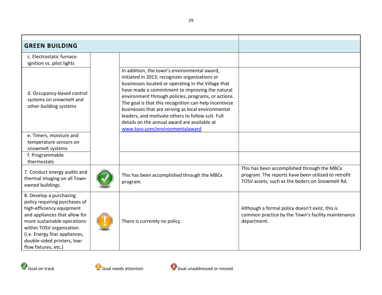| <b>GREEN BUILDING</b>                                                                                                                                                                                                                                                     |                                                                                                                                                                                                                                                                                                                                                                                                                                                                                                                         |                                                                                                                                                        |
|---------------------------------------------------------------------------------------------------------------------------------------------------------------------------------------------------------------------------------------------------------------------------|-------------------------------------------------------------------------------------------------------------------------------------------------------------------------------------------------------------------------------------------------------------------------------------------------------------------------------------------------------------------------------------------------------------------------------------------------------------------------------------------------------------------------|--------------------------------------------------------------------------------------------------------------------------------------------------------|
| c. Electrostatic furnace<br>ignition vs. pilot lights                                                                                                                                                                                                                     |                                                                                                                                                                                                                                                                                                                                                                                                                                                                                                                         |                                                                                                                                                        |
| d. Occupancy-based control<br>systems on snowmelt and<br>other building systems                                                                                                                                                                                           | In addition, the town's environmental award,<br>initiated in 2013, recognizes organizations or<br>businesses located or operating in the Village that<br>have made a commitment to improving the natural<br>environment through policies, programs, or actions.<br>The goal is that this recognition can help incentivize<br>businesses that are serving as local environmental<br>leaders, and motivate others to follow suit. Full<br>details on the annual award are available at<br>www.tosv.com/environmentalaward |                                                                                                                                                        |
| e. Timers, moisture and<br>temperature sensors on<br>snowmelt systems                                                                                                                                                                                                     |                                                                                                                                                                                                                                                                                                                                                                                                                                                                                                                         |                                                                                                                                                        |
| f. Programmable<br>thermostats                                                                                                                                                                                                                                            |                                                                                                                                                                                                                                                                                                                                                                                                                                                                                                                         |                                                                                                                                                        |
| 7. Conduct energy audits and<br>thermal imaging on all Town-<br>owned buildings.                                                                                                                                                                                          | This has been accomplished through the MBCx<br>program.                                                                                                                                                                                                                                                                                                                                                                                                                                                                 | This has been accomplished through the MBCx<br>program. The reports have been utilized to retrofit<br>TOSV assets, such as the boilers on Snowmelt Rd. |
| 8. Develop a purchasing<br>policy requiring purchases of<br>high-efficiency equipment<br>and appliances that allow for<br>more sustainable operations<br>within TOSV organization<br>(i.e. Energy Star appliances,<br>double-sided printers, low-<br>flow fixtures, etc.) | There is currently no policy.                                                                                                                                                                                                                                                                                                                                                                                                                                                                                           | Although a formal policy doesn't exist, this is<br>common practice by the Town's facility maintenance<br>department.                                   |





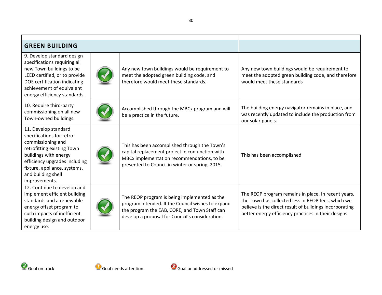| <b>GREEN BUILDING</b>                                                                                                                                                                                                                 |  |                                                                                                                                                                                                       |                                                                                                                                                                                                                              |
|---------------------------------------------------------------------------------------------------------------------------------------------------------------------------------------------------------------------------------------|--|-------------------------------------------------------------------------------------------------------------------------------------------------------------------------------------------------------|------------------------------------------------------------------------------------------------------------------------------------------------------------------------------------------------------------------------------|
| 9. Develop standard design<br>specifications requiring all<br>new Town buildings to be<br>LEED certified, or to provide<br>DOE certification indicating<br>achievement of equivalent<br>energy efficiency standards.                  |  | Any new town buildings would be requirement to<br>meet the adopted green building code, and<br>therefore would meet these standards.                                                                  | Any new town buildings would be requirement to<br>meet the adopted green building code, and therefore<br>would meet these standards                                                                                          |
| 10. Require third-party<br>commissioning on all new<br>Town-owned buildings.                                                                                                                                                          |  | Accomplished through the MBCx program and will<br>be a practice in the future.                                                                                                                        | The building energy navigator remains in place, and<br>was recently updated to include the production from<br>our solar panels.                                                                                              |
| 11. Develop standard<br>specifications for retro-<br>commissioning and<br>retrofitting existing Town<br>buildings with energy<br>efficiency upgrades including<br>fixture, appliance, systems,<br>and building shell<br>improvements. |  | This has been accomplished through the Town's<br>capital replacement project in conjunction with<br>MBCx implementation recommendations, to be<br>presented to Council in winter or spring, 2015.     | This has been accomplished                                                                                                                                                                                                   |
| 12. Continue to develop and<br>implement efficient building<br>standards and a renewable<br>energy offset program to<br>curb impacts of inefficient<br>building design and outdoor<br>energy use.                                     |  | The REOP program is being implemented as the<br>program intended. If the Council wishes to expand<br>the program the EAB, CORE, and Town Staff can<br>develop a proposal for Council's consideration. | The REOP program remains in place. In recent years,<br>the Town has collected less in REOP fees, which we<br>believe is the direct result of buildings incorporating<br>better energy efficiency practices in their designs. |



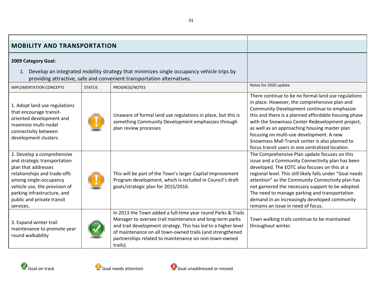<span id="page-30-0"></span>

| <b>MOBILITY AND TRANSPORTATION</b>                                                                                                                                                                                                                     |               |                                                                                                                                                                                                                                                                                                                              |                                                                                                                                                                                                                                                                                                                                                                                                                                                                    |
|--------------------------------------------------------------------------------------------------------------------------------------------------------------------------------------------------------------------------------------------------------|---------------|------------------------------------------------------------------------------------------------------------------------------------------------------------------------------------------------------------------------------------------------------------------------------------------------------------------------------|--------------------------------------------------------------------------------------------------------------------------------------------------------------------------------------------------------------------------------------------------------------------------------------------------------------------------------------------------------------------------------------------------------------------------------------------------------------------|
| 2009 Category Goal:<br>1. Develop an integrated mobility strategy that minimizes single occupancy vehicle trips by<br>providing attractive, safe and convenient transportation alternatives.                                                           |               |                                                                                                                                                                                                                                                                                                                              |                                                                                                                                                                                                                                                                                                                                                                                                                                                                    |
| <b>IMPLEMENTATION CONCEPTS</b>                                                                                                                                                                                                                         | <b>STATUS</b> | PROGRESS/NOTES                                                                                                                                                                                                                                                                                                               | Notes for 2020 update                                                                                                                                                                                                                                                                                                                                                                                                                                              |
| 1. Adopt land use regulations<br>that encourage transit-<br>oriented development and<br>maximize multi-nodal<br>connectivity between<br>development clusters                                                                                           |               | Unaware of formal land use regulations in place, but this is<br>something Community Development emphasizes through<br>plan review processes                                                                                                                                                                                  | There continue to be no formal land use regulations<br>in place. However, the comprehensive plan and<br>Community Development continue to emphasize<br>this and there is a planned affordable housing phase<br>with the Snowmass Center Redevelopment project,<br>as well as an approaching housing master plan<br>focusing on multi-use development. A new<br>Snowmass Mall Transit center is also planned to<br>focus transit users in one centralized location. |
| 2. Develop a comprehensive<br>and strategic transportation<br>plan that addresses<br>relationships and trade-offs<br>among single-occupancy<br>vehicle use, the provision of<br>parking infrastructure, and<br>public and private transit<br>services. |               | This will be part of the Town's larger Capital Improvement<br>Program development, which is included in Council's draft<br>goals/strategic plan for 2015/2016.                                                                                                                                                               | The Comprehensive Plan update focuses on this<br>issue and a Community Connectivity plan has been<br>developed. The EOTC also focuses on this at a<br>regional level. This still likely falls under "Goal needs<br>attention" as the Community Connectivity plan has<br>not garnered the necessary support to be adopted.<br>The need to manage parking and transportation<br>demand in an increasingly developed community<br>remains an issue in need of focus.  |
| 3. Expand winter trail<br>maintenance to promote year<br>round walkability                                                                                                                                                                             |               | In 2013 the Town added a full-time year round Parks & Trails<br>Manager to oversee trail maintenance and long-term parks<br>and trail development strategy. This has led to a higher level<br>of maintenance on all town-owned trails (and strengthened<br>partnerships related to maintenance on non-town-owned<br>trails). | Town walking trails continue to be maintained<br>throughout winter.                                                                                                                                                                                                                                                                                                                                                                                                |



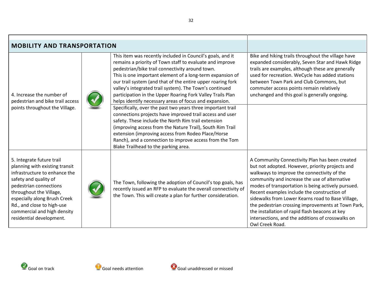| <b>MOBILITY AND TRANSPORTATION</b>                                                                                                                                                                                                                                                                  |  |                                                                                                                                                                                                                                                                                                                                                                                                                                                                                                                                                                                                                                                                                                                                                                                                                                                                                                  |                                                                                                                                                                                                                                                                                                                                                                                                                                                                                                                                             |
|-----------------------------------------------------------------------------------------------------------------------------------------------------------------------------------------------------------------------------------------------------------------------------------------------------|--|--------------------------------------------------------------------------------------------------------------------------------------------------------------------------------------------------------------------------------------------------------------------------------------------------------------------------------------------------------------------------------------------------------------------------------------------------------------------------------------------------------------------------------------------------------------------------------------------------------------------------------------------------------------------------------------------------------------------------------------------------------------------------------------------------------------------------------------------------------------------------------------------------|---------------------------------------------------------------------------------------------------------------------------------------------------------------------------------------------------------------------------------------------------------------------------------------------------------------------------------------------------------------------------------------------------------------------------------------------------------------------------------------------------------------------------------------------|
| 4. Increase the number of<br>pedestrian and bike trail access<br>points throughout the Village.                                                                                                                                                                                                     |  | This item was recently included in Council's goals, and it<br>remains a priority of Town staff to evaluate and improve<br>pedestrian/bike trail connectivity around town.<br>This is one important element of a long-term expansion of<br>our trail system (and that of the entire upper roaring fork<br>valley's integrated trail system). The Town's continued<br>participation in the Upper Roaring Fork Valley Trails Plan<br>helps identify necessary areas of focus and expansion.<br>Specifically, over the past two years three important trail<br>connections projects have improved trail access and user<br>safety. These include the North Rim trail extension<br>(improving access from the Nature Trail), South Rim Trail<br>extension (improving access from Rodeo Place/Horse<br>Ranch), and a connection to improve access from the Tom<br>Blake Trailhead to the parking area. | Bike and hiking trails throughout the village have<br>expanded considerably, Seven Star and Hawk Ridge<br>trails are examples, although these are generally<br>used for recreation. WeCycle has added stations<br>between Town Park and Club Commons, but<br>commuter access points remain relatively<br>unchanged and this goal is generally ongoing.                                                                                                                                                                                      |
| 5. Integrate future trail<br>planning with existing transit<br>infrastructure to enhance the<br>safety and quality of<br>pedestrian connections<br>throughout the Village,<br>especially along Brush Creek<br>Rd., and close to high-use<br>commercial and high density<br>residential development. |  | The Town, following the adoption of Council's top goals, has<br>recently issued an RFP to evaluate the overall connectivity of<br>the Town. This will create a plan for further consideration.                                                                                                                                                                                                                                                                                                                                                                                                                                                                                                                                                                                                                                                                                                   | A Community Connectivity Plan has been created<br>but not adopted. However, priority projects and<br>walkways to improve the connectivity of the<br>community and increase the use of alternative<br>modes of transportation is being actively pursued.<br>Recent examples include the construction of<br>sidewalks from Lower Kearns road to Base Village,<br>the pedestrian crossing improvements at Town Park,<br>the installation of rapid flash beacons at key<br>intersections, and the additions of crosswalks on<br>Owl Creek Road. |



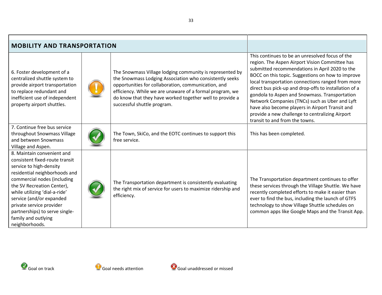| <b>MOBILITY AND TRANSPORTATION</b>                                                                                                                                                                                                                                                                                                                        |  |                                                                                                                                                                                                                                                                                                                                   |                                                                                                                                                                                                                                                                                                                                                                                                                                                                                                                                                                   |
|-----------------------------------------------------------------------------------------------------------------------------------------------------------------------------------------------------------------------------------------------------------------------------------------------------------------------------------------------------------|--|-----------------------------------------------------------------------------------------------------------------------------------------------------------------------------------------------------------------------------------------------------------------------------------------------------------------------------------|-------------------------------------------------------------------------------------------------------------------------------------------------------------------------------------------------------------------------------------------------------------------------------------------------------------------------------------------------------------------------------------------------------------------------------------------------------------------------------------------------------------------------------------------------------------------|
| 6. Foster development of a<br>centralized shuttle system to<br>provide airport transportation<br>to replace redundant and<br>inefficient use of independent<br>property airport shuttles.                                                                                                                                                                 |  | The Snowmass Village lodging community is represented by<br>the Snowmass Lodging Association who consistently seeks<br>opportunities for collaboration, communication, and<br>efficiency. While we are unaware of a formal program, we<br>do know that they have worked together well to provide a<br>successful shuttle program. | This continues to be an unresolved focus of the<br>region. The Aspen Airport Vision Committee has<br>submitted recommendations in April 2020 to the<br>BOCC on this topic. Suggestions on how to improve<br>local transportation connections ranged from more<br>direct bus pick-up and drop-offs to installation of a<br>gondola to Aspen and Snowmass. Transportation<br>Network Companies (TNCs) such as Uber and Lyft<br>have also become players in Airport Transit and<br>provide a new challenge to centralizing Airport<br>transit to and from the towns. |
| 7. Continue free bus service<br>throughout Snowmass Village<br>and between Snowmass<br>Village and Aspen.                                                                                                                                                                                                                                                 |  | The Town, SkiCo, and the EOTC continues to support this<br>free service.                                                                                                                                                                                                                                                          | This has been completed.                                                                                                                                                                                                                                                                                                                                                                                                                                                                                                                                          |
| 8. Maintain convenient and<br>consistent fixed-route transit<br>service to high-density<br>residential neighborhoods and<br>commercial nodes (including<br>the SV Recreation Center),<br>while utilizing 'dial-a-ride'<br>service (and/or expanded<br>private service provider<br>partnerships) to serve single-<br>family and outlying<br>neighborhoods. |  | The Transportation department is consistently evaluating<br>the right mix of service for users to maximize ridership and<br>efficiency.                                                                                                                                                                                           | The Transportation department continues to offer<br>these services through the Village Shuttle. We have<br>recently completed efforts to make it easier than<br>ever to find the bus, including the launch of GTFS<br>technology to show Village Shuttle schedules on<br>common apps like Google Maps and the Transit App.                                                                                                                                                                                                                                        |



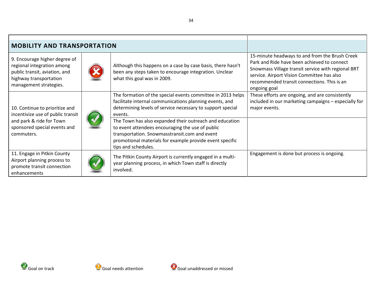| <b>MOBILITY AND TRANSPORTATION</b>                                                                                                               |  |                                                                                                                                                                                                                                                 |                                                                                                                                                                                                                                                                  |
|--------------------------------------------------------------------------------------------------------------------------------------------------|--|-------------------------------------------------------------------------------------------------------------------------------------------------------------------------------------------------------------------------------------------------|------------------------------------------------------------------------------------------------------------------------------------------------------------------------------------------------------------------------------------------------------------------|
| 9. Encourage higher degree of<br>regional integration among<br>public transit, aviation, and<br>highway transportation<br>management strategies. |  | Although this happens on a case by case basis, there hasn't<br>been any steps taken to encourage integration. Unclear<br>what this goal was in 2009.                                                                                            | 15-minute headways to and from the Brush Creek<br>Park and Ride have been achieved to connect<br>Snowmass Village transit service with regional BRT<br>service. Airport Vision Committee has also<br>recommended transit connections. This is an<br>ongoing goal |
| 10. Continue to prioritize and<br>incentivize use of public transit<br>and park & ride for Town                                                  |  | The formation of the special events committee in 2013 helps<br>facilitate internal communications planning events, and<br>determining levels of service necessary to support special<br>events.                                                 | These efforts are ongoing, and are consistently<br>included in our marketing campaigns - especially for<br>major events.                                                                                                                                         |
| sponsored special events and<br>commuters.                                                                                                       |  | The Town has also expanded their outreach and education<br>to event attendees encouraging the use of public<br>transportation. Snowmasstransit.com and event<br>promotional materials for example provide event specific<br>tips and schedules. |                                                                                                                                                                                                                                                                  |
| 11. Engage in Pitkin County<br>Airport planning process to<br>promote transit connection<br>enhancements                                         |  | The Pitkin County Airport is currently engaged in a multi-<br>year planning process, in which Town staff is directly<br>involved.                                                                                                               | Engagement is done but process is ongoing.                                                                                                                                                                                                                       |



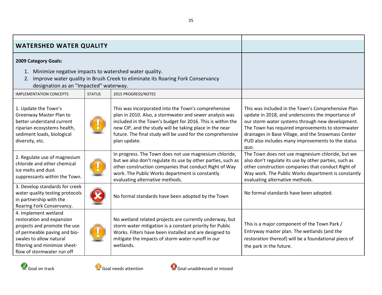<span id="page-34-0"></span>

| <b>WATERSHED WATER QUALITY</b>                                                                                                                                                                                                                    |               |                                                                                                                                                                                                                                                                                                                       |                                                                                                                                                                                                                                                                                                                                    |
|---------------------------------------------------------------------------------------------------------------------------------------------------------------------------------------------------------------------------------------------------|---------------|-----------------------------------------------------------------------------------------------------------------------------------------------------------------------------------------------------------------------------------------------------------------------------------------------------------------------|------------------------------------------------------------------------------------------------------------------------------------------------------------------------------------------------------------------------------------------------------------------------------------------------------------------------------------|
| 2009 Category Goals:<br>1. Minimize negative impacts to watershed water quality.<br>2. Improve water quality in Brush Creek to eliminate its Roaring Fork Conservancy<br>designation as an "Impacted" waterway.<br><b>IMPLEMENTATION CONCEPTS</b> | <b>STATUS</b> |                                                                                                                                                                                                                                                                                                                       |                                                                                                                                                                                                                                                                                                                                    |
| 1. Update the Town's<br>Greenway Master Plan to<br>better understand current<br>riparian ecosystems health,<br>sediment loads, biological<br>diversity, etc.                                                                                      |               | This was incorporated into the Town's comprehensive<br>plan in 2010. Also, a stormwater and sewer analysis was<br>included in the Town's budget for 2016. This is within the<br>new CIP, and the study will be taking place in the near<br>future. The final study will be used for the comprehensive<br>plan update. | This was included in the Town's Comprehensive Plan<br>update in 2018, and underscores the importance of<br>our storm water systems through new development.<br>The Town has required improvements to stormwater<br>drainages in Base Village, and the Snowmass Center<br>PUD also includes many improvements to the status<br>quo. |
| 2. Regulate use of magnesium<br>chloride and other chemical<br>ice melts and dust<br>suppressants within the Town.                                                                                                                                |               | In progress. The Town does not use magnesium chloride,<br>but we also don't regulate its use by other parties, such as<br>other construction companies that conduct Right of Way<br>work. The Public Works department is constantly<br>evaluating alternative methods.                                                | The Town does not use magnesium chloride, but we<br>also don't regulate its use by other parties, such as<br>other construction companies that conduct Right of<br>Way work. The Public Works department is constantly<br>evaluating alternative methods.                                                                          |
| 3. Develop standards for creek<br>water quality testing protocols<br>in partnership with the<br>Roaring Fork Conservancy.                                                                                                                         |               | No formal standards have been adopted by the Town                                                                                                                                                                                                                                                                     | No formal standards have been adopted.                                                                                                                                                                                                                                                                                             |
| 4. Implement wetland<br>restoration and expansion<br>projects and promote the use<br>of permeable paving and bio-<br>swales to allow natural<br>filtering and minimize sheet-<br>flow of stormwater run off                                       |               | No wetland related projects are currently underway, but<br>storm water mitigation is a constant priority for Public<br>Works. Filters have been installed and are designed to<br>mitigate the impacts of storm water runoff in our<br>wetlands.                                                                       | This is a major component of the Town Park /<br>Entryway master plan. The wetlands (and the<br>restoration thereof) will be a foundational piece of<br>the park in the future.                                                                                                                                                     |



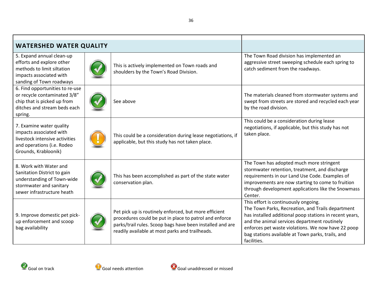| <b>WATERSHED WATER QUALITY</b>                                                                                                               |  |                                                                                                                                                                                                                                 |                                                                                                                                                                                                                                                                                                                                |
|----------------------------------------------------------------------------------------------------------------------------------------------|--|---------------------------------------------------------------------------------------------------------------------------------------------------------------------------------------------------------------------------------|--------------------------------------------------------------------------------------------------------------------------------------------------------------------------------------------------------------------------------------------------------------------------------------------------------------------------------|
| 5. Expand annual clean-up<br>efforts and explore other<br>methods to limit siltation<br>impacts associated with<br>sanding of Town roadways  |  | This is actively implemented on Town roads and<br>shoulders by the Town's Road Division.                                                                                                                                        | The Town Road division has implemented an<br>aggressive street sweeping schedule each spring to<br>catch sediment from the roadways.                                                                                                                                                                                           |
| 6. Find opportunities to re-use<br>or recycle contaminated 3/8"<br>chip that is picked up from<br>ditches and stream beds each<br>spring.    |  | See above                                                                                                                                                                                                                       | The materials cleaned from stormwater systems and<br>swept from streets are stored and recycled each year<br>by the road division.                                                                                                                                                                                             |
| 7. Examine water quality<br>impacts associated with<br>livestock intensive activities<br>and operations (i.e. Rodeo<br>Grounds, Krabloonik)  |  | This could be a consideration during lease negotiations, if<br>applicable, but this study has not taken place.                                                                                                                  | This could be a consideration during lease<br>negotiations, if applicable, but this study has not<br>taken place.                                                                                                                                                                                                              |
| 8. Work with Water and<br>Sanitation District to gain<br>understanding of Town-wide<br>stormwater and sanitary<br>sewer infrastructure heath |  | This has been accomplished as part of the state water<br>conservation plan.                                                                                                                                                     | The Town has adopted much more stringent<br>stormwater retention, treatment, and discharge<br>requirements in our Land Use Code. Examples of<br>improvements are now starting to come to fruition<br>through development applications like the Snowmass<br>Center.                                                             |
| 9. Improve domestic pet pick-<br>up enforcement and scoop<br>bag availability                                                                |  | Pet pick up is routinely enforced, but more efficient<br>procedures could be put in place to patrol and enforce<br>parks/trail rules. Scoop bags have been installed and are<br>readily available at most parks and trailheads. | This effort is continuously ongoing.<br>The Town Parks, Recreation, and Trails department<br>has installed additional poop stations in recent years,<br>and the animal services department routinely<br>enforces pet waste violations. We now have 22 poop<br>bag stations available at Town parks, trails, and<br>facilities. |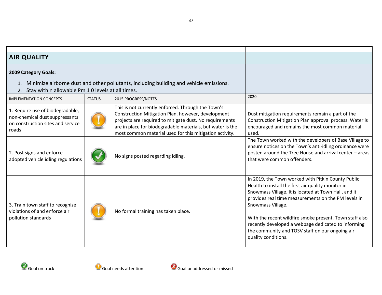<span id="page-36-0"></span>

| <b>AIR QUALITY</b>                                                                                               |               |                                                                                                                                                                                                                                                                                              |                                                                                                                                                                                                                                                                                                                                                                                                                                          |
|------------------------------------------------------------------------------------------------------------------|---------------|----------------------------------------------------------------------------------------------------------------------------------------------------------------------------------------------------------------------------------------------------------------------------------------------|------------------------------------------------------------------------------------------------------------------------------------------------------------------------------------------------------------------------------------------------------------------------------------------------------------------------------------------------------------------------------------------------------------------------------------------|
| 2009 Category Goals:                                                                                             |               |                                                                                                                                                                                                                                                                                              |                                                                                                                                                                                                                                                                                                                                                                                                                                          |
| 2. Stay within allowable Pm 1 0 levels at all times.                                                             |               | Minimize airborne dust and other pollutants, including building and vehicle emissions.                                                                                                                                                                                                       |                                                                                                                                                                                                                                                                                                                                                                                                                                          |
| <b>IMPLEMENTATION CONCEPTS</b>                                                                                   | <b>STATUS</b> | 2015 PROGRESS/NOTES                                                                                                                                                                                                                                                                          | 2020                                                                                                                                                                                                                                                                                                                                                                                                                                     |
| 1. Require use of biodegradable,<br>non-chemical dust suppressants<br>on construction sites and service<br>roads |               | This is not currently enforced. Through the Town's<br>Construction Mitigation Plan, however, development<br>projects are required to mitigate dust. No requirements<br>are in place for biodegradable materials, but water is the<br>most common material used for this mitigation activity. | Dust mitigation requirements remain a part of the<br>Construction Mitigation Plan approval process. Water is<br>encouraged and remains the most common material<br>used.                                                                                                                                                                                                                                                                 |
| 2. Post signs and enforce<br>adopted vehicle idling regulations                                                  |               | No signs posted regarding idling.                                                                                                                                                                                                                                                            | The Town worked with the developers of Base Village to<br>ensure notices on the Town's anti-idling ordinance were<br>posted around the Tree House and arrival center - areas<br>that were common offenders.                                                                                                                                                                                                                              |
| 3. Train town staff to recognize<br>violations of and enforce air<br>pollution standards                         |               | No formal training has taken place.                                                                                                                                                                                                                                                          | In 2019, the Town worked with Pitkin County Public<br>Health to install the first air quality monitor in<br>Snowmass Village. It is located at Town Hall, and it<br>provides real time measurements on the PM levels in<br>Snowmass Village.<br>With the recent wildfire smoke present, Town staff also<br>recently developed a webpage dedicated to informing<br>the community and TOSV staff on our ongoing air<br>quality conditions. |





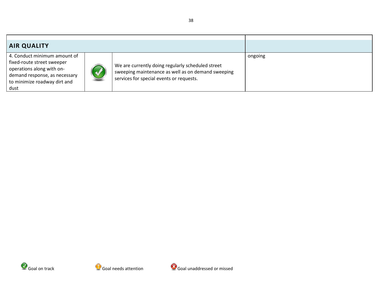| <b>AIR QUALITY</b>                                                                                                                                               |  |                                                                                                                                                     |         |
|------------------------------------------------------------------------------------------------------------------------------------------------------------------|--|-----------------------------------------------------------------------------------------------------------------------------------------------------|---------|
| 4. Conduct minimum amount of<br>fixed-route street sweeper<br>operations along with on-<br>demand response, as necessary<br>to minimize roadway dirt and<br>dust |  | We are currently doing regularly scheduled street<br>sweeping maintenance as well as on demand sweeping<br>services for special events or requests. | ongoing |





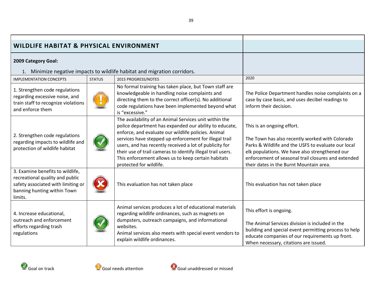<span id="page-38-0"></span>

| <b>WILDLIFE HABITAT &amp; PHYSICAL ENVIRONMENT</b>                                                                                                  |               |                                                                                                                                                                                                                                                                                                                                                                                                                                               |                                                                                                                                                                                                                                                                                          |
|-----------------------------------------------------------------------------------------------------------------------------------------------------|---------------|-----------------------------------------------------------------------------------------------------------------------------------------------------------------------------------------------------------------------------------------------------------------------------------------------------------------------------------------------------------------------------------------------------------------------------------------------|------------------------------------------------------------------------------------------------------------------------------------------------------------------------------------------------------------------------------------------------------------------------------------------|
| 2009 Category Goal:<br>1. Minimize negative impacts to wildlife habitat and migration corridors.                                                    |               |                                                                                                                                                                                                                                                                                                                                                                                                                                               |                                                                                                                                                                                                                                                                                          |
| <b>IMPLEMENTATION CONCEPTS</b>                                                                                                                      | <b>STATUS</b> | 2015 PROGRESS/NOTES                                                                                                                                                                                                                                                                                                                                                                                                                           | 2020                                                                                                                                                                                                                                                                                     |
| 1. Strengthen code regulations<br>regarding excessive noise, and<br>train staff to recognize violations<br>and enforce them                         |               | No formal training has taken place, but Town staff are<br>knowledgeable in handling noise complaints and<br>directing them to the correct officer(s). No additional<br>code regulations have been implemented beyond what<br>is "excessive."                                                                                                                                                                                                  | The Police Department handles noise complaints on a<br>case by case basis, and uses decibel readings to<br>inform their decision.                                                                                                                                                        |
| 2. Strengthen code regulations<br>regarding impacts to wildlife and<br>protection of wildlife habitat                                               |               | The availability of an Animal Services unit within the<br>police department has expanded our ability to educate,<br>enforce, and evaluate our wildlife policies. Animal<br>services have stepped up enforcement for illegal trail<br>users, and has recently received a lot of publicity for<br>their use of trail cameras to identify illegal trail users.<br>This enforcement allows us to keep certain habitats<br>protected for wildlife. | This is an ongoing effort.<br>The Town has also recently worked with Colorado<br>Parks & Wildlife and the USFS to evaluate our local<br>elk populations. We have also strengthened our<br>enforcement of seasonal trail closures and extended<br>their dates in the Burnt Mountain area. |
| 3. Examine benefits to wildlife,<br>recreational quality and public<br>safety associated with limiting or<br>banning hunting within Town<br>limits. |               | This evaluation has not taken place                                                                                                                                                                                                                                                                                                                                                                                                           | This evaluation has not taken place                                                                                                                                                                                                                                                      |
| 4. Increase educational,<br>outreach and enforcement<br>efforts regarding trash<br>regulations                                                      |               | Animal services produces a lot of educational materials<br>regarding wildlife ordinances, such as magnets on<br>dumpsters, outreach campaigns, and informational<br>websites.<br>Animal services also meets with special event vendors to<br>explain wildlife ordinances.                                                                                                                                                                     | This effort is ongoing.<br>The Animal Services division is included in the<br>building and special event permitting process to help<br>educate companies of our requirements up front.<br>When necessary, citations are issued.                                                          |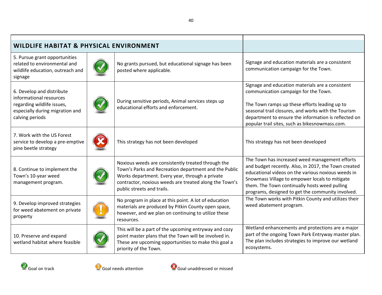| <b>WILDLIFE HABITAT &amp; PHYSICAL ENVIRONMENT</b>                                                                                       |  |                                                                                                                                                                                                                                                        |                                                                                                                                                                                                                                                                                                                      |
|------------------------------------------------------------------------------------------------------------------------------------------|--|--------------------------------------------------------------------------------------------------------------------------------------------------------------------------------------------------------------------------------------------------------|----------------------------------------------------------------------------------------------------------------------------------------------------------------------------------------------------------------------------------------------------------------------------------------------------------------------|
| 5. Pursue grant opportunities<br>related to environmental and<br>wildlife education, outreach and<br>signage                             |  | No grants pursued, but educational signage has been<br>posted where applicable.                                                                                                                                                                        | Signage and education materials are a consistent<br>communication campaign for the Town.                                                                                                                                                                                                                             |
| 6. Develop and distribute<br>informational resources<br>regarding wildlife issues,<br>especially during migration and<br>calving periods |  | During sensitive periods, Animal services steps up<br>educational efforts and enforcement.                                                                                                                                                             | Signage and education materials are a consistent<br>communication campaign for the Town.<br>The Town ramps up these efforts leading up to<br>seasonal trail closures, and works with the Tourism<br>department to ensure the information is reflected on<br>popular trail sites, such as bikesnowmass.com.           |
| 7. Work with the US Forest<br>service to develop a pre-emptive<br>pine beetle strategy                                                   |  | This strategy has not been developed                                                                                                                                                                                                                   | This strategy has not been developed                                                                                                                                                                                                                                                                                 |
| 8. Continue to implement the<br>Town's 10-year weed<br>management program.                                                               |  | Noxious weeds are consistently treated through the<br>Town's Parks and Recreation department and the Public<br>Works department. Every year, through a private<br>contractor, noxious weeds are treated along the Town's<br>public streets and trails. | The Town has increased weed management efforts<br>and budget recently. Also, in 2017, the Town created<br>educational videos on the various noxious weeds in<br>Snowmass Village to empower locals to mitigate<br>them. The Town continually hosts weed pulling<br>programs, designed to get the community involved. |
| 9. Develop improved strategies<br>for weed abatement on private<br>property                                                              |  | No program in place at this point. A lot of education<br>materials are produced by Pitkin County open space,<br>however, and we plan on continuing to utilize these<br>resources.                                                                      | The Town works with Pitkin County and utilizes their<br>weed abatement program.                                                                                                                                                                                                                                      |
| 10. Preserve and expand<br>wetland habitat where feasible                                                                                |  | This will be a part of the upcoming entryway and cozy<br>point master plans that the Town will be involved in.<br>These are upcoming opportunities to make this goal a<br>priority of the Town.                                                        | Wetland enhancements and protections are a major<br>part of the ongoing Town Park Entryway master plan.<br>The plan includes strategies to improve our wetland<br>ecosystems.                                                                                                                                        |